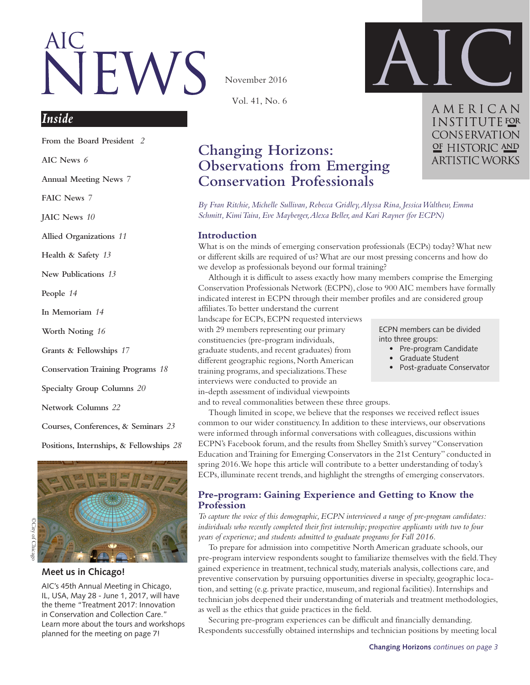# VEWS

November 2016

Vol. 41, No. 6



AMERICAN **INSTITUTE** FOR **CONSERVATION** OF HISTORIC AND **ARTISTIC WORKS** 

# *Inside*

**From the Board President** *2*

**[AIC News](#page-3-0)** *6*

**Annual Meetin[g News](#page-6-0)** *7* 

**[FAIC News](#page-6-0)** *7*

**[JAIC News](#page-6-0)** *10*

**Allied Organizations** *11*

**Health & Safety** *13*

**New Publication[s](#page-13-0)** *13*

**[People](#page-13-0)** *14*

**In Memoria[m](#page-13-0)** *14*

**Worth Noting** *16*

**Grants & Fellowships** *17*

**Conservation Training Programs** *[1](#page-13-0)8*

**Specialty Group Column[s](#page-18-0)** *20*

**Network Column[s](#page-15-0)** *22*

**[Courses, Conferences, & Seminars](#page-23-0)** *23*

**Positions, Internships, & Fellowships** *28*





**Meet us in Chicago!**

AIC's 45th Annual Meeting in Chicago, IL, USA, May 28 - June 1, 2017, will have the theme "Treatment 2017: Innovation in Conservation and Collection Care." Learn more about the tours and workshops planned for the meeting on page 7!

# **Changing Horizons: Observations from Emerging Conservation Professionals**

*By Fran Ritchie, Michelle Sullivan, Rebecca Gridley, Alyssa Rina, Jessica Walthew, Emma Schmitt, Kimi Taira, Eve Mayberger, Alexa Beller, and Kari Rayner (for ECPN)*

#### **Introduction**

What is on the minds of emerging conservation professionals (ECPs) today? What new or different skills are required of us? What are our most pressing concerns and how do we develop as professionals beyond our formal training?

Although it is difficult to assess exactly how many members comprise the Emerging Conservation Professionals Network (ECPN), close to 900 AIC members have formally indicated interest in ECPN through their member profiles and are considered group affiliates. To better understand the current

landscape for ECPs, ECPN requested interviews with 29 members representing our primary constituencies (pre-program individuals, graduate students, and recent graduates) from different geographic regions, North American training programs, and specializations. These interviews were conducted to provide an in-depth assessment of individual viewpoints

ECPN members can be divided into three groups:

- Pre-program Candidate
- • Graduate Student
- Post-graduate Conservator

and to reveal commonalities between these three groups.

Though limited in scope, we believe that the responses we received reflect issues common to our wider constituency. In addition to these interviews, our observations were informed through informal conversations with colleagues, discussions within ECPN's Facebook forum, and the results from Shelley Smith's survey "Conservation Education and Training for Emerging Conservators in the 21st Century" conducted in spring 2016. We hope this article will contribute to a better understanding of today's ECPs, illuminate recent trends, and highlight the strengths of emerging conservators.

## **Pre-program: Gaining Experience and Getting to Know the Profession**

*To capture the voice of this demographic, ECPN interviewed a range of pre-program candidates: individuals who recently completed their first internship; prospective applicants with two to four years of experience; and students admitted to graduate programs for Fall 2016.*

To prepare for admission into competitive North American graduate schools, our pre-program interview respondents sought to familiarize themselves with the field. They gained experience in treatment, technical study, materials analysis, collections care, and preventive conservation by pursuing opportunities diverse in specialty, geographic location, and setting (e.g. private practice, museum, and regional facilities). Internships and technician jobs deepened their understanding of materials and treatment methodologies, as well as the ethics that guide practices in the field.

Securing pre-program experiences can be difficult and financially demanding. Respondents successfully obtained internships and technician positions by meeting local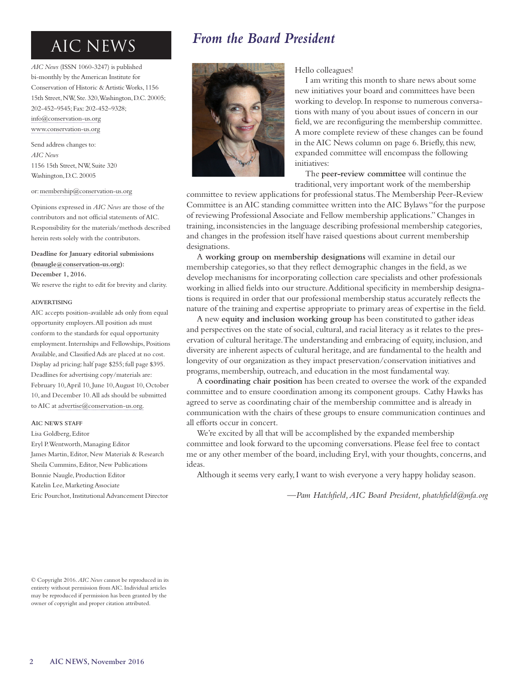*AIC News* (ISSN 1060-3247) is published bi-monthly by the American Institute for Conservation of Historic & Artistic Works, 1156 15th Street, NW, Ste. 320, Washington, D.C. 20005; 202-452–9545; Fax: 202-452–9328; [info@conservation-us.org](mailto:info%40conservation-us.org?subject=AIC%20News) [www.conservation-us.org](http://www.conservation-us.org)

Send address changes to: *AIC News* 1156 15th Street, NW, Suite 320 Washington, D.C. 20005

#### or: [membership@conservation-us.org](mailto:membership%40conservation-us.org?subject=Address%20change)

Opinions expressed in *AIC News* are those of the contributors and not official statements of AIC. Responsibility for the materials/methods described herein rests solely with the contributors.

## **Deadline for January editorial submissions ([bnaugle@conservation-us.org\)](mailto:bnaugle%40conservation-us.org?subject=AIC%20News%20submission):**

**December 1, 2016.**

We reserve the right to edit for brevity and clarity.

#### **ADVERTISING**

AIC accepts position-available ads only from equal opportunity employers. All position ads must conform to the standards for equal opportunity employment. Internships and Fellowships, Positions Available, and Classified Ads are placed at no cost. Display ad pricing: half page \$255; full page \$395. Deadlines for advertising copy/materials are: February 10, April 10, June 10, August 10, October 10, and December 10. All ads should be submitted to AIC at [advertise@conservation-us.org](mailto:Advertise%40conservation-us.org?subject=AIC%20News%20advertising).

#### **AIC NEWS STAFF**

Lisa Goldberg, Editor

Eryl P. Wentworth, Managing Editor James Martin, Editor, New Materials & Research Sheila Cummins, Editor, New Publications Bonnie Naugle, Production Editor Katelin Lee, Marketing Associate Eric Pourchot, Institutional Advancement Director

# AIC NEWS *From the Board President*



Hello colleagues!

I am writing this month to share news about some new initiatives your board and committees have been working to develop. In response to numerous conversations with many of you about issues of concern in our field, we are reconfiguring the membership committee. A more complete review of these changes can be found in the AIC News column on page 6. Briefly, this new, expanded committee will encompass the following initiatives:

The **peer-review committee** will continue the traditional, very important work of the membership

committee to review applications for professional status. The Membership Peer-Review Committee is an AIC standing committee written into the AIC Bylaws "for the purpose of reviewing Professional Associate and Fellow membership applications." Changes in training, inconsistencies in the language describing professional membership categories, and changes in the profession itself have raised questions about current membership designations.

A **working group on membership designations** will examine in detail our membership categories, so that they reflect demographic changes in the field, as we develop mechanisms for incorporating collection care specialists and other professionals working in allied fields into our structure. Additional specificity in membership designations is required in order that our professional membership status accurately reflects the nature of the training and expertise appropriate to primary areas of expertise in the field.

A new **equity and inclusion working group** has been constituted to gather ideas and perspectives on the state of social, cultural, and racial literacy as it relates to the preservation of cultural heritage. The understanding and embracing of equity, inclusion, and diversity are inherent aspects of cultural heritage, and are fundamental to the health and longevity of our organization as they impact preservation/conservation initiatives and programs, membership, outreach, and education in the most fundamental way.

A **coordinating chair position** has been created to oversee the work of the expanded committee and to ensure coordination among its component groups. Cathy Hawks has agreed to serve as coordinating chair of the membership committee and is already in communication with the chairs of these groups to ensure communication continues and all efforts occur in concert.

We're excited by all that will be accomplished by the expanded membership committee and look forward to the upcoming conversations. Please feel free to contact me or any other member of the board, including Eryl, with your thoughts, concerns, and ideas.

Although it seems very early, I want to wish everyone a very happy holiday season.

*—Pam Hatchfield, AIC Board President, phatchfield@mfa.org*

<sup>©</sup> Copyright 2016. *AIC News* cannot be reproduced in its entirety without permission from AIC. Individual articles may be reproduced if permission has been granted by the owner of copyright and proper citation attributed.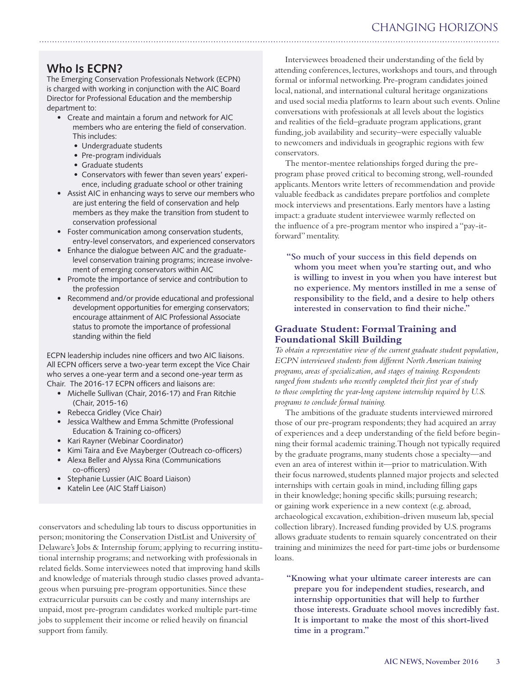# CHANGING HORIZONS

# **Who Is ECPN?**

The Emerging Conservation Professionals Network (ECPN) is charged with working in conjunction with the AIC Board Director for Professional Education and the membership department to:

- • Create and maintain a forum and network for AIC members who are entering the field of conservation. This includes:
	- Undergraduate students
	- Pre-program individuals
	- Graduate students
	- • Conservators with fewer than seven years' experience, including graduate school or other training
- Assist AIC in enhancing ways to serve our members who are just entering the field of conservation and help members as they make the transition from student to conservation professional
- Foster communication among conservation students, entry-level conservators, and experienced conservators
- Enhance the dialogue between AIC and the graduatelevel conservation training programs; increase involvement of emerging conservators within AIC
- Promote the importance of service and contribution to the profession
- Recommend and/or provide educational and professional development opportunities for emerging conservators; encourage attainment of AIC Professional Associate status to promote the importance of professional standing within the field

ECPN leadership includes nine officers and two AIC liaisons. All ECPN officers serve a two-year term except the Vice Chair who serves a one-year term and a second one-year term as Chair. The 2016-17 ECPN officers and liaisons are:

- Michelle Sullivan (Chair, 2016-17) and Fran Ritchie (Chair, 2015-16)
- Rebecca Gridley (Vice Chair)
- Jessica Walthew and Emma Schmitte (Professional Education & Training co-officers)
- • Kari Rayner (Webinar Coordinator)
- Kimi Taira and Eve Mayberger (Outreach co-officers)
- • Alexa Beller and Alyssa Rina (Communications co-officers)
- Stephanie Lussier (AIC Board Liaison)
- • Katelin Lee (AIC Staff Liaison)

conservators and scheduling lab tours to discuss opportunities in person; monitoring the [Conservation DistList](http://cool.conservation-us.org/byform/mailing-lists/cdl/) and [University of](http://www.artcons.udel.edu/jobs-internships/jobs)  [Delaware's Jobs & Internship forum;](http://www.artcons.udel.edu/jobs-internships/jobs) applying to recurring institutional internship programs; and networking with professionals in related fields. Some interviewees noted that improving hand skills and knowledge of materials through studio classes proved advantageous when pursuing pre-program opportunities. Since these extracurricular pursuits can be costly and many internships are unpaid, most pre-program candidates worked multiple part-time jobs to supplement their income or relied heavily on financial support from family.

Interviewees broadened their understanding of the field by attending conferences, lectures, workshops and tours, and through formal or informal networking. Pre-program candidates joined local, national, and international cultural heritage organizations and used social media platforms to learn about such events. Online conversations with professionals at all levels about the logistics and realities of the field–graduate program applications, grant funding, job availability and security–were especially valuable to newcomers and individuals in geographic regions with few conservators.

The mentor-mentee relationships forged during the preprogram phase proved critical to becoming strong, well-rounded applicants. Mentors write letters of recommendation and provide valuable feedback as candidates prepare portfolios and complete mock interviews and presentations. Early mentors have a lasting impact: a graduate student interviewee warmly reflected on the influence of a pre-program mentor who inspired a "pay-itforward" mentality.

**"So much of your success in this field depends on whom you meet when you're starting out, and who is willing to invest in you when you have interest but no experience. My mentors instilled in me a sense of responsibility to the field, and a desire to help others interested in conservation to find their niche."** 

# **Graduate Student: Formal Training and Foundational Skill Building**

*To obtain a representative view of the current graduate student population, ECPN interviewed students from different North American training programs, areas of specialization, and stages of training. Respondents ranged from students who recently completed their first year of study to those completing the year-long capstone internship required by U.S. programs to conclude formal training.* 

The ambitions of the graduate students interviewed mirrored those of our pre-program respondents; they had acquired an array of experiences and a deep understanding of the field before beginning their formal academic training. Though not typically required by the graduate programs, many students chose a specialty—and even an area of interest within it—prior to matriculation. With their focus narrowed, students planned major projects and selected internships with certain goals in mind, including filling gaps in their knowledge; honing specific skills; pursuing research; or gaining work experience in a new context (e.g. abroad, archaeological excavation, exhibition-driven museum lab, special collection library). Increased funding provided by U.S. programs allows graduate students to remain squarely concentrated on their training and minimizes the need for part-time jobs or burdensome loans.

**"Knowing what your ultimate career interests are can prepare you for independent studies, research, and internship opportunities that will help to further those interests. Graduate school moves incredibly fast. It is important to make the most of this short-lived time in a program."**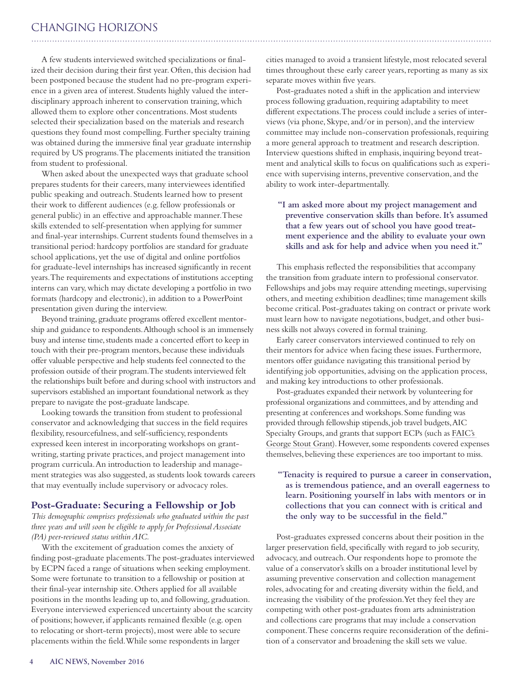# <span id="page-3-0"></span>CHANGING HORIZONS

A few students interviewed switched specializations or finalized their decision during their first year. Often, this decision had been postponed because the student had no pre-program experience in a given area of interest. Students highly valued the interdisciplinary approach inherent to conservation training, which allowed them to explore other concentrations. Most students selected their specialization based on the materials and research questions they found most compelling. Further specialty training was obtained during the immersive final year graduate internship required by US programs. The placements initiated the transition from student to professional.

When asked about the unexpected ways that graduate school prepares students for their careers, many interviewees identified public speaking and outreach. Students learned how to present their work to different audiences (e.g. fellow professionals or general public) in an effective and approachable manner. These skills extended to self-presentation when applying for summer and final-year internships. Current students found themselves in a transitional period: hardcopy portfolios are standard for graduate school applications, yet the use of digital and online portfolios for graduate-level internships has increased significantly in recent years. The requirements and expectations of institutions accepting interns can vary, which may dictate developing a portfolio in two formats (hardcopy and electronic), in addition to a PowerPoint presentation given during the interview.

Beyond training, graduate programs offered excellent mentorship and guidance to respondents. Although school is an immensely busy and intense time, students made a concerted effort to keep in touch with their pre-program mentors, because these individuals offer valuable perspective and help students feel connected to the profession outside of their program. The students interviewed felt the relationships built before and during school with instructors and supervisors established an important foundational network as they prepare to navigate the post-graduate landscape.

Looking towards the transition from student to professional conservator and acknowledging that success in the field requires flexibility, resourcefulness, and self-sufficiency, respondents expressed keen interest in incorporating workshops on grantwriting, starting private practices, and project management into program curricula. An introduction to leadership and management strategies was also suggested, as students look towards careers that may eventually include supervisory or advocacy roles.

## **Post-Graduate: Securing a Fellowship or Job**

*This demographic comprises professionals who graduated within the past three years and will soon be eligible to apply for Professional Associate (PA) peer-reviewed status within AIC.* 

With the excitement of graduation comes the anxiety of finding post-graduate placements. The post-graduates interviewed by ECPN faced a range of situations when seeking employment. Some were fortunate to transition to a fellowship or position at their final-year internship site. Others applied for all available positions in the months leading up to, and following, graduation. Everyone interviewed experienced uncertainty about the scarcity of positions; however, if applicants remained flexible (e.g. open to relocating or short-term projects), most were able to secure placements within the field. While some respondents in larger

cities managed to avoid a transient lifestyle, most relocated several times throughout these early career years, reporting as many as six separate moves within five years.

Post-graduates noted a shift in the application and interview process following graduation, requiring adaptability to meet different expectations. The process could include a series of interviews (via phone, Skype, and/or in person), and the interview committee may include non-conservation professionals, requiring a more general approach to treatment and research description. Interview questions shifted in emphasis, inquiring beyond treatment and analytical skills to focus on qualifications such as experience with supervising interns, preventive conservation, and the ability to work inter-departmentally.

## **"I am asked more about my project management and preventive conservation skills than before. It's assumed that a few years out of school you have good treatment experience and the ability to evaluate your own skills and ask for help and advice when you need it."**

This emphasis reflected the responsibilities that accompany the transition from graduate intern to professional conservator. Fellowships and jobs may require attending meetings, supervising others, and meeting exhibition deadlines; time management skills become critical. Post-graduates taking on contract or private work must learn how to navigate negotiations, budget, and other business skills not always covered in formal training.

Early career conservators interviewed continued to rely on their mentors for advice when facing these issues. Furthermore, mentors offer guidance navigating this transitional period by identifying job opportunities, advising on the application process, and making key introductions to other professionals.

Post-graduates expanded their network by volunteering for professional organizations and committees, and by attending and presenting at conferences and workshops. Some funding was provided through fellowship stipends, job travel budgets, AIC Specialty Groups, and grants that support ECPs (such as FAIC's George Stout Grant). However, some respondents covered expenses themselves, believing these experiences are too important to miss.

## **"Tenacity is required to pursue a career in conservation, as is tremendous patience, and an overall eagerness to learn. Positioning yourself in labs with mentors or in collections that you can connect with is critical and the only way to be successful in the field."**

Post-graduates expressed concerns about their position in the larger preservation field, specifically with regard to job security, advocacy, and outreach. Our respondents hope to promote the value of a conservator's skills on a broader institutional level by assuming preventive conservation and collection management roles, advocating for and creating diversity within the field, and increasing the visibility of the profession. Yet they feel they are competing with other post-graduates from arts administration and collections care programs that may include a conservation component. These concerns require reconsideration of the definition of a conservator and broadening the skill sets we value.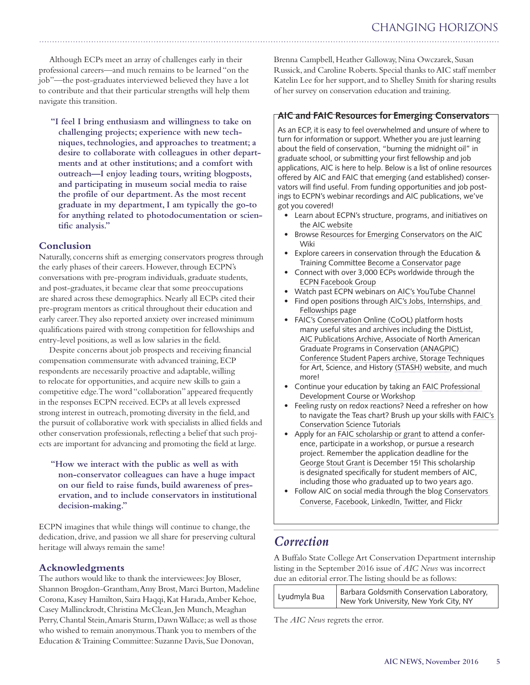Although ECPs meet an array of challenges early in their professional careers—and much remains to be learned "on the job"—the post-graduates interviewed believed they have a lot to contribute and that their particular strengths will help them navigate this transition.

**"I feel I bring enthusiasm and willingness to take on challenging projects; experience with new techniques, technologies, and approaches to treatment; a desire to collaborate with colleagues in other departments and at other institutions; and a comfort with outreach—I enjoy leading tours, writing blogposts, and participating in museum social media to raise the profile of our department. As the most recent graduate in my department, I am typically the go-to for anything related to photodocumentation or scientific analysis."**

## **Conclusion**

Naturally, concerns shift as emerging conservators progress through the early phases of their careers. However, through ECPN's conversations with pre-program individuals, graduate students, and post-graduates, it became clear that some preoccupations are shared across these demographics. Nearly all ECPs cited their pre-program mentors as critical throughout their education and early career. They also reported anxiety over increased minimum qualifications paired with strong competition for fellowships and entry-level positions, as well as low salaries in the field.

Despite concerns about job prospects and receiving financial compensation commensurate with advanced training, ECP respondents are necessarily proactive and adaptable, willing to relocate for opportunities, and acquire new skills to gain a competitive edge. The word "collaboration" appeared frequently in the responses ECPN received. ECPs at all levels expressed strong interest in outreach, promoting diversity in the field, and the pursuit of collaborative work with specialists in allied fields and other conservation professionals, reflecting a belief that such projects are important for advancing and promoting the field at large.

**"How we interact with the public as well as with non-conservator colleagues can have a huge impact on our field to raise funds, build awareness of preservation, and to include conservators in institutional decision-making."**

ECPN imagines that while things will continue to change, the dedication, drive, and passion we all share for preserving cultural heritage will always remain the same!

## **Acknowledgments**

The authors would like to thank the interviewees: Joy Bloser, Shannon Brogdon-Grantham, Amy Brost, Marci Burton, Madeline Corona, Kasey Hamilton, Saira Haqqi, Kat Harada, Amber Kehoe, Casey Mallinckrodt, Christina McClean, Jen Munch, Meaghan Perry, Chantal Stein, Amaris Sturm, Dawn Wallace; as well as those who wished to remain anonymous. Thank you to members of the Education & Training Committee: Suzanne Davis, Sue Donovan,

Brenna Campbell, Heather Galloway, Nina Owczarek, Susan Russick, and Caroline Roberts. Special thanks to AIC staff member Katelin Lee for her support, and to Shelley Smith for sharing results of her survey on conservation education and training.

# **AIC and FAIC Resources for Emerging Conservators**

As an ECP, it is easy to feel overwhelmed and unsure of where to turn for information or support. Whether you are just learning about the field of conservation, "burning the midnight oil" in graduate school, or submitting your first fellowship and job applications, AIC is here to help. Below is a list of online resources offered by AIC and FAIC that emerging (and established) conservators will find useful. From funding opportunities and job postings to ECPN's webinar recordings and AIC publications, we've got you covered!

- Learn about ECPN's structure, programs, and initiatives on the AIC website
- Browse [Resources for Emerging Conservators](http://www.conservation-wiki.com/wiki/Resources_for_Emerging_Conservators) on the AIC Wiki
- Explore careers in conservation through the Education & Training Committee Become a Conservator page
- Connect with over 3,000 ECPs worldwide through the [ECPN Facebook Group](https://www.facebook.com/groups/419707523031/)
- Watch past ECPN webinars on [AIC's YouTube Channel](https://www.youtube.com/user/aiconservation)
- Find open positions through AIC's Jobs, Internships, and Fellowships page
- FAIC's [Conservation Online \(CoOL\)](http://cool.conservation-us.org/) platform hosts many useful sites and archives including the [DistList](http://cool.conservation-us.org/byform/mailing-lists/cdl/), [AIC Publications Archive](http://cool.conservation-us.org/publications.html), Associate of North American Graduate Programs in Conservation [\(ANAGPIC\)](http://cool.conservation-us.org/publications.html)  [Conference Student Papers archive,](http://cool.conservation-us.org/publications.html) Storage Techniques for Art, Science, and History [\(STASH\) website,](http://stashc.com/) and much more!
- Continue your education by taking an FAIC Professional Development Course or Workshop
- Feeling rusty on redox reactions? Need a refresher on how to navigate the Teas chart? Brush up your skills with FAIC's Conservation Science Tutorials
- Apply for an FAIC scholarship or grant to attend a conference, participate in a workshop, or pursue a research project. Remember the application deadline for the George Stout Grant is December 15! This scholarship is designated specifically for student members of AIC, including those who graduated up to two years ago.
- Follow AIC on social media through the blog Conservators [Converse,](http://www.conservators-converse.org/) [Facebook](https://www.facebook.com/aiconservation), [LinkedIn](https://www.linkedin.com/company/american-institute-for-conservation-of-historic-and-artistic-works), Twitter, and Flickr

# *Correction*

A Buffalo State College Art Conservation Department internship listing in the September 2016 issue of *AIC News* was incorrect due an editorial error. The listing should be as follows:

| Lyudmyla Bua | Barbara Goldsmith Conservation Laboratory,<br>New York University, New York City, NY |
|--------------|--------------------------------------------------------------------------------------|
|--------------|--------------------------------------------------------------------------------------|

The *AIC News* regrets the error.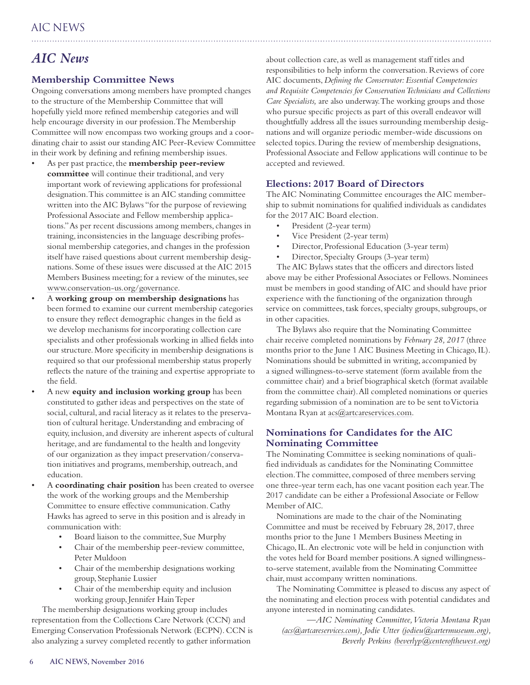# *AIC News*

# **Membership Committee News**

Ongoing conversations among members have prompted changes to the structure of the Membership Committee that will hopefully yield more refined membership categories and will help encourage diversity in our profession. The Membership Committee will now encompass two working groups and a coordinating chair to assist our standing AIC Peer-Review Committee in their work by defining and refining membership issues.

- As per past practice, the **membership** peer-review **committee** will continue their traditional, and very important work of reviewing applications for professional designation. This committee is an AIC standing committee written into the AIC Bylaws "for the purpose of reviewing Professional Associate and Fellow membership applications." As per recent discussions among members, changes in training, inconsistencies in the language describing professional membership categories, and changes in the profession itself have raised questions about current membership designations. Some of these issues were discussed at the AIC 2015 Members Business meeting; for a review of the minutes, see [www.conservation-us.org/governance.](http://www.conservation-us.org/governance)
- A working group on membership designations has been formed to examine our current membership categories to ensure they reflect demographic changes in the field as we develop mechanisms for incorporating collection care specialists and other professionals working in allied fields into our structure. More specificity in membership designations is required so that our professional membership status properly reflects the nature of the training and expertise appropriate to the field.
- A new **equity and inclusion working group** has been constituted to gather ideas and perspectives on the state of social, cultural, and racial literacy as it relates to the preservation of cultural heritage. Understanding and embracing of equity, inclusion, and diversity are inherent aspects of cultural heritage, and are fundamental to the health and longevity of our organization as they impact preservation/conservation initiatives and programs, membership, outreach, and education.
- A **coordinating chair position** has been created to oversee the work of the working groups and the Membership Committee to ensure effective communication. Cathy Hawks has agreed to serve in this position and is already in communication with:
	- Board liaison to the committee, Sue Murphy
	- Chair of the membership peer-review committee, Peter Muldoon
	- Chair of the membership designations working group, Stephanie Lussier
	- Chair of the membership equity and inclusion working group, Jennifer Hain Teper

The membership designations working group includes representation from the Collections Care Network (CCN) and Emerging Conservation Professionals Network (ECPN). CCN is also analyzing a survey completed recently to gather information

about collection care, as well as management staff titles and responsibilities to help inform the conversation. Reviews of core AIC documents, *Defining the Conservator: Essential Competencies and Requisite Competencies for Conservation Technicians and Collections Care Specialists,* are also underway. The working groups and those who pursue specific projects as part of this overall endeavor will thoughtfully address all the issues surrounding membership designations and will organize periodic member-wide discussions on selected topics. During the review of membership designations, Professional Associate and Fellow applications will continue to be accepted and reviewed.

## **Elections: 2017 Board of Directors**

The AIC Nominating Committee encourages the AIC membership to submit nominations for qualified individuals as candidates for the 2017 AIC Board election.

- President (2-year term)
- Vice President (2-year term)
- Director, Professional Education (3-year term)
- Director, Specialty Groups (3-year term)

The AIC Bylaws states that the officers and directors listed above may be either Professional Associates or Fellows. Nominees must be members in good standing of AIC and should have prior experience with the functioning of the organization through service on committees, task forces, specialty groups, subgroups, or in other capacities.

The Bylaws also require that the Nominating Committee chair receive completed nominations by *February 28, 2017* (three months prior to the June 1 AIC Business Meeting in Chicago, IL). Nominations should be submitted in writing, accompanied by a signed willingness-to-serve statement (form available from the committee chair) and a brief biographical sketch (format available from the committee chair). All completed nominations or queries regarding submission of a nomination are to be sent to Victoria Montana Ryan at [acs@artcareservices.com.](mailto:acs@artcareservices.com)

# **Nominations for Candidates for the AIC Nominating Committee**

The Nominating Committee is seeking nominations of qualified individuals as candidates for the Nominating Committee election. The committee, composed of three members serving one three-year term each, has one vacant position each year. The 2017 candidate can be either a Professional Associate or Fellow Member of AIC.

Nominations are made to the chair of the Nominating Committee and must be received by February 28, 2017, three months prior to the June 1 Members Business Meeting in Chicago, IL. An electronic vote will be held in conjunction with the votes held for Board member positions. A signed willingnessto-serve statement, available from the Nominating Committee chair, must accompany written nominations.

The Nominating Committee is pleased to discuss any aspect of the nominating and election process with potential candidates and anyone interested in nominating candidates.

*—AIC Nominating Committee, Victoria Montana Ryan [\(acs@artcareservices.com\)](mailto:acs@artcareservices.com), Jodie Utter [\(jodieu@cartermuseum.org\)](mailto:jodieu@cartermuseum.org), Beverly Perkins [\(beverlyp@centerofthewest.org\)](mailto:beverlyp@centerofthewest.org)*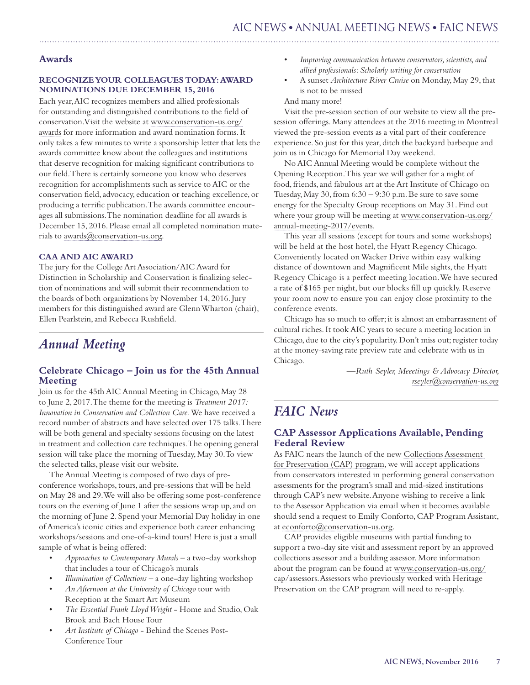## <span id="page-6-0"></span>**Awards**

#### **RECOGNIZE YOUR COLLEAGUES TODAY: AWARD NOMINATIONS DUE DECEMBER 15, 2016**

Each year, AIC recognizes members and allied professionals for outstanding and distinguished contributions to the field of conservation. Visit the website at [www.conservation-us.org/](http://www.conservation-us.org/awards) [awards](http://www.conservation-us.org/awards) for more information and award nomination forms. It only takes a few minutes to write a sponsorship letter that lets the awards committee know about the colleagues and institutions that deserve recognition for making significant contributions to our field. There is certainly someone you know who deserves recognition for accomplishments such as service to AIC or the conservation field, advocacy, education or teaching excellence, or producing a terrific publication. The awards committee encourages all submissions. The nomination deadline for all awards is December 15, 2016. Please email all completed nomination materials to [awards@conservation-us.org](mailto:awards@conservation-us.org).

## **CAA AND AIC AWARD**

The jury for the College Art Association/AIC Award for Distinction in Scholarship and Conservation is finalizing selection of nominations and will submit their recommendation to the boards of both organizations by November 14, 2016. Jury members for this distinguished award are Glenn Wharton (chair), Ellen Pearlstein, and Rebecca Rushfield.

# *Annual Meeting*

## **Celebrate Chicago – Join us for the 45th Annual Meeting**

Join us for the 45th AIC Annual Meeting in Chicago, May 28 to June 2, 2017. The theme for the meeting is *Treatment 2017: Innovation in Conservation and Collection Care.* We have received a record number of abstracts and have selected over 175 talks. There will be both general and specialty sessions focusing on the latest in treatment and collection care techniques. The opening general session will take place the morning of Tuesday, May 30. To view the selected talks, please visit our website.

The Annual Meeting is composed of two days of preconference workshops, tours, and pre-sessions that will be held on May 28 and 29. We will also be offering some post-conference tours on the evening of June 1 after the sessions wrap up, and on the morning of June 2. Spend your Memorial Day holiday in one of America's iconic cities and experience both career enhancing workshops/sessions and one-of-a-kind tours! Here is just a small sample of what is being offered:

- Approaches to Contemporary Murals a two-day workshop that includes a tour of Chicago's murals
- *Illumination of Collections* a one-day lighting workshop
- An Afternoon at the University of Chicago tour with Reception at the Smart Art Museum
- The Essential Frank Lloyd Wright Home and Studio, Oak Brook and Bach House Tour
- Art Institute of Chicago Behind the Scenes Post-Conference Tour
- Improving communication between conservators, scientists, and *allied professionals: Scholarly writing for conservation*
- A sunset *Architecture River Cruise* on Monday, May 29, that is not to be missed

And many more!

Visit the pre-session section of our website to view all the presession offerings. Many attendees at the 2016 meeting in Montreal viewed the pre-session events as a vital part of their conference experience. So just for this year, ditch the backyard barbeque and join us in Chicago for Memorial Day weekend.

No AIC Annual Meeting would be complete without the Opening Reception. This year we will gather for a night of food, friends, and fabulous art at the Art Institute of Chicago on Tuesday, May 30, from 6:30 – 9:30 p.m. Be sure to save some energy for the Specialty Group receptions on May 31. Find out where your group will be meeting at www.conservation-us.org/ annual-meeting-2017/events.

This year all sessions (except for tours and some workshops) will be held at the host hotel, the Hyatt Regency Chicago. Conveniently located on Wacker Drive within easy walking distance of downtown and Magnificent Mile sights, the Hyatt Regency Chicago is a perfect meeting location. We have secured a rate of \$165 per night, but our blocks fill up quickly. Reserve your room now to ensure you can enjoy close proximity to the conference events.

Chicago has so much to offer; it is almost an embarrassment of cultural riches. It took AIC years to secure a meeting location in Chicago, due to the city's popularity. Don't miss out; register today at the money-saving rate preview rate and celebrate with us in Chicago.

> —*Ruth Seyler, Meeetings & Advocacy Director, rseyler@conservation-us.org*

# *FAIC News*

# **CAP Assessor Applications Available, Pending Federal Review**

As FAIC nears the launch of the new [Collections Assessment](http://www.conservation-us.org/CAP)  [for Preservation \(CAP\) program](http://www.conservation-us.org/CAP), we will accept applications from conservators interested in performing general conservation assessments for the program's small and mid-sized institutions through CAP's new website. Anyone wishing to receive a link to the Assessor Application via email when it becomes available should send a request to Emily Conforto, CAP Program Assistant, at [econforto@conservation-us.org](mailto:econforto@conservation-us.org).

CAP provides eligible museums with partial funding to support a two-day site visit and assessment report by an approved collections assessor and a building assessor. More information about the program can be found at [www.conservation-us.org/](http://www.conservation-us.org/cap/assessors) [cap/assessors](http://www.conservation-us.org/cap/assessors). Assessors who previously worked with Heritage Preservation on the CAP program will need to re-apply.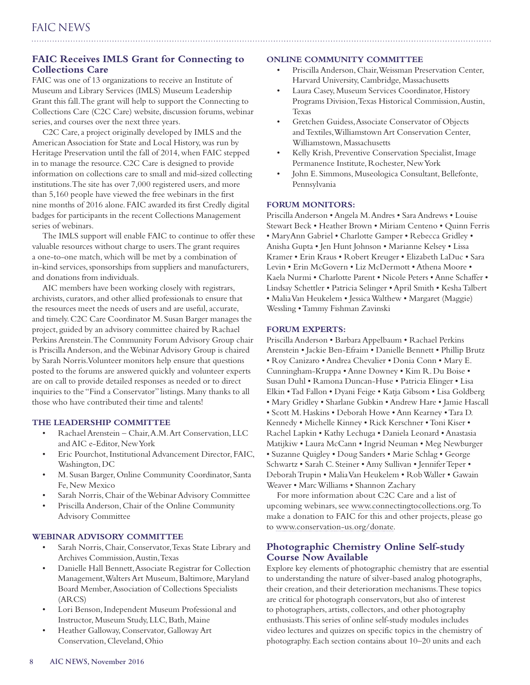# **FAIC Receives IMLS Grant for Connecting to Collections Care**

FAIC was one of 13 organizations to receive an Institute of Museum and Library Services (IMLS) Museum Leadership Grant this fall. The grant will help to support the Connecting to Collections Care (C2C Care) website, discussion forums, webinar series, and courses over the next three years.

C2C Care, a project originally developed by IMLS and the American Association for State and Local History, was run by Heritage Preservation until the fall of 2014, when FAIC stepped in to manage the resource. C2C Care is designed to provide information on collections care to small and mid-sized collecting institutions. The site has over 7,000 registered users, and more than 5,160 people have viewed the free webinars in the first nine months of 2016 alone. FAIC awarded its first Credly digital badges for participants in the recent Collections Management series of webinars.

The IMLS support will enable FAIC to continue to offer these valuable resources without charge to users. The grant requires a one-to-one match, which will be met by a combination of in-kind services, sponsorships from suppliers and manufacturers, and donations from individuals.

AIC members have been working closely with registrars, archivists, curators, and other allied professionals to ensure that the resources meet the needs of users and are useful, accurate, and timely. C2C Care Coordinator M. Susan Barger manages the project, guided by an advisory committee chaired by Rachael Perkins Arenstein. The Community Forum Advisory Group chair is Priscilla Anderson, and the Webinar Advisory Group is chaired by Sarah Norris. Volunteer monitors help ensure that questions posted to the forums are answered quickly and volunteer experts are on call to provide detailed responses as needed or to direct inquiries to the "Find a Conservator" listings. Many thanks to all those who have contributed their time and talents!

#### **THE LEADERSHIP COMMITTEE**

- Rachael Arenstein Chair, A.M. Art Conservation, LLC and AIC e-Editor, New York
- Eric Pourchot, Institutional Advancement Director, FAIC, Washington, DC
- M. Susan Barger, Online Community Coordinator, Santa Fe, New Mexico
- Sarah Norris, Chair of the Webinar Advisory Committee
- Priscilla Anderson, Chair of the Online Community Advisory Committee

## **WEBINAR ADVISORY COMMITTEE**

- Sarah Norris, Chair, Conservator, Texas State Library and Archives Commission, Austin, Texas
- Danielle Hall Bennett, Associate Registrar for Collection Management, Walters Art Museum, Baltimore, Maryland Board Member, Association of Collections Specialists (ARCS)
- Lori Benson, Independent Museum Professional and Instructor, Museum Study, LLC, Bath, Maine
- Heather Galloway, Conservator, Galloway Art Conservation, Cleveland, Ohio

#### **ONLINE COMMUNITY COMMITTEE**

- Priscilla Anderson, Chair, Weissman Preservation Center, Harvard University, Cambridge, Massachusetts
- Laura Casey, Museum Services Coordinator, History Programs Division, Texas Historical Commission, Austin, Texas
- Gretchen Guidess, Associate Conservator of Objects and Textiles, Williamstown Art Conservation Center, Williamstown, Massachusetts
- Kelly Krish, Preventive Conservation Specialist, Image Permanence Institute, Rochester, New York
- John E. Simmons, Museologica Consultant, Bellefonte, Pennsylvania

#### **FORUM MONITORS:**

Priscilla Anderson • Angela M.Andres • Sara Andrews • Louise Stewart Beck • Heather Brown • Miriam Centeno • Quinn Ferris • MaryAnn Gabriel • Charlotte Gamper • Rebecca Gridley • Anisha Gupta • Jen Hunt Johnson • Marianne Kelsey • Lissa Kramer • Erin Kraus • Robert Kreuger • Elizabeth LaDuc • Sara Levin • Erin McGovern • Liz McDermott • Athena Moore • Kaela Nurmi • Charlotte Parent • Nicole Peters • Anne Schaffer • Lindsay Schettler • Patricia Selinger • April Smith • KeshaTalbert • Malia Van Heukelem • Jessica Walthew • Margaret (Maggie) Wessling •Tammy Fishman Zavinski

#### **FORUM EXPERTS:**

Priscilla Anderson • Barbara Appelbaum • Rachael Perkins Arenstein • Jackie Ben-Efraim • Danielle Bennett • Phillip Brutz • Roy Canizaro • Andrea Chevalier • Donia Conn • Mary E. Cunningham-Kruppa • Anne Downey • Kim R.Du Boise • Susan Duhl • Ramona Duncan-Huse • Patricia Elinger • Lisa Elkin •Tad Fallon • Dyani Feige • Katja Gibsom • Lisa Goldberg • Mary Gridley • Sharlane Gubkin • Andrew Hare • Jamie Hascall • Scott M.Haskins • Deborah Howe • Ann Kearney •Tara D. Kennedy • Michelle Kinney • Rick Kerschner •Toni Kiser • Rachel Lapkin • Kathy Lechuga • Daniela Leonard • Anastasia Matijkiw • Laura McCann • Ingrid Neuman • Meg Newburger • Suzanne Quigley • Doug Sanders • Marie Schlag • George Schwartz • Sarah C. Steiner • Amy Sullivan • JenniferTeper • DeborahTrupin • MaliaVan Heukelem • RobWaller • Gawain Weaver • MarcWilliams • Shannon Zachary

For more information about C2C Care and a list of upcoming webinars, see [www.connectingtocollections.org](http://www.connectingtocollections.org). To make a donation to FAIC for this and other projects, please go to [www.conservation-us.org/donate.](http://www.conservation-us.org/donate)

## **Photographic Chemistry Online Self-study Course Now Available**

Explore key elements of photographic chemistry that are essential to understanding the nature of silver-based analog photographs, their creation, and their deterioration mechanisms. These topics are critical for photograph conservators, but also of interest to photographers, artists, collectors, and other photography enthusiasts. This series of online self-study modules includes video lectures and quizzes on specific topics in the chemistry of photography. Each section contains about 10–20 units and each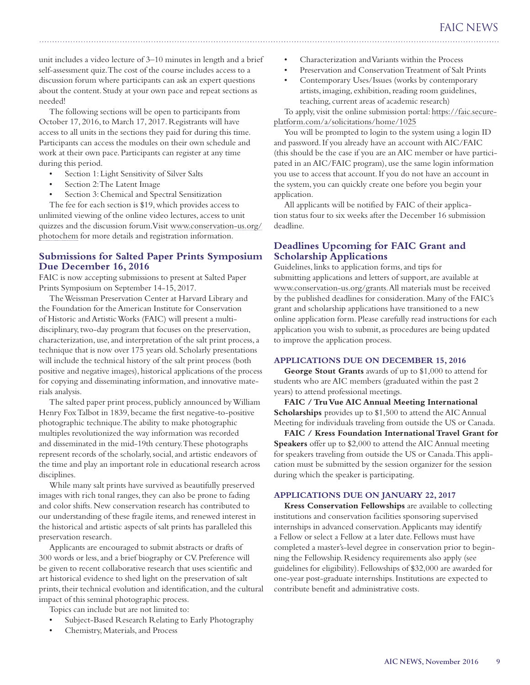unit includes a video lecture of 3–10 minutes in length and a brief self-assessment quiz. The cost of the course includes access to a discussion forum where participants can ask an expert questions about the content. Study at your own pace and repeat sections as needed!

The following sections will be open to participants from October 17, 2016, to March 17, 2017. Registrants will have access to all units in the sections they paid for during this time. Participants can access the modules on their own schedule and work at their own pace. Participants can register at any time during this period.

- Section 1: Light Sensitivity of Silver Salts
- Section 2: The Latent Image
- Section 3: Chemical and Spectral Sensitization

The fee for each section is \$19, which provides access to unlimited viewing of the online video lectures, access to unit quizzes and the discussion forum. Visit [www.conservation-us.org/](http://www.conservation-us.org/photochem) [photochem](http://www.conservation-us.org/photochem) for more details and registration information.

## **Submissions for Salted Paper Prints Symposium Due December 16, 2016**

FAIC is now accepting submissions to present at Salted Paper Prints Symposium on September 14-15, 2017.

The Weissman Preservation Center at Harvard Library and the Foundation for the American Institute for Conservation of Historic and Artistic Works (FAIC) will present a multidisciplinary, two-day program that focuses on the preservation, characterization, use, and interpretation of the salt print process, a technique that is now over 175 years old. Scholarly presentations will include the technical history of the salt print process (both positive and negative images), historical applications of the process for copying and disseminating information, and innovative materials analysis.

The salted paper print process, publicly announced by William Henry Fox Talbot in 1839, became the first negative-to-positive photographic technique. The ability to make photographic multiples revolutionized the way information was recorded and disseminated in the mid-19th century. These photographs represent records of the scholarly, social, and artistic endeavors of the time and play an important role in educational research across disciplines.

While many salt prints have survived as beautifully preserved images with rich tonal ranges, they can also be prone to fading and color shifts. New conservation research has contributed to our understanding of these fragile items, and renewed interest in the historical and artistic aspects of salt prints has paralleled this preservation research.

Applicants are encouraged to submit abstracts or drafts of 300 words or less, and a brief biography or CV. Preference will be given to recent collaborative research that uses scientific and art historical evidence to shed light on the preservation of salt prints, their technical evolution and identification, and the cultural impact of this seminal photographic process.

Topics can include but are not limited to:

- Subject-Based Research Relating to Early Photography
- Chemistry, Materials, and Process
- Characterization and Variants within the Process
- Preservation and Conservation Treatment of Salt Prints
- Contemporary Uses/Issues (works by contemporary artists, imaging, exhibition, reading room guidelines, teaching, current areas of academic research)

To apply, visit the online submission portal: [https://faic.secure](https://faic.secure-platform.com/a/solicitations/home/1025)[platform.com/a/solicitations/home/1025](https://faic.secure-platform.com/a/solicitations/home/1025)

You will be prompted to login to the system using a login ID and password. If you already have an account with AIC/FAIC (this should be the case if you are an AIC member or have participated in an AIC/FAIC program), use the same login information you use to access that account. If you do not have an account in the system, you can quickly create one before you begin your application.

All applicants will be notified by FAIC of their application status four to six weeks after the December 16 submission deadline.

## **Deadlines Upcoming for FAIC Grant and Scholarship Applications**

Guidelines, links to application forms, and tips for submitting applications and letters of support, are available at www.conservation-us.org/grants. All materials must be received by the published deadlines for consideration. Many of the FAIC's grant and scholarship applications have transitioned to a new online application form. Please carefully read instructions for each application you wish to submit, as procedures are being updated to improve the application process.

#### **APPLICATIONS DUE ON DECEMBER 15, 2016**

**George Stout Grants** awards of up to \$1,000 to attend for students who are AIC members (graduated within the past 2 years) to attend professional meetings.

**FAIC / Tru Vue AIC Annual Meeting International Scholarships** provides up to \$1,500 to attend the AIC Annual Meeting for individuals traveling from outside the US or Canada.

**FAIC / Kress Foundation International Travel Grant for Speakers** offer up to \$2,000 to attend the AIC Annual meeting for speakers traveling from outside the US or Canada. This application must be submitted by the session organizer for the session during which the speaker is participating.

#### **APPLICATIONS DUE ON JANUARY 22, 2017**

**Kress Conservation Fellowships** are available to collecting institutions and conservation facilities sponsoring supervised internships in advanced conservation. Applicants may identify a Fellow or select a Fellow at a later date. Fellows must have completed a master's-level degree in conservation prior to beginning the Fellowship. Residency requirements also apply (see guidelines for eligibility). Fellowships of \$32,000 are awarded for one-year post-graduate internships. Institutions are expected to contribute benefit and administrative costs.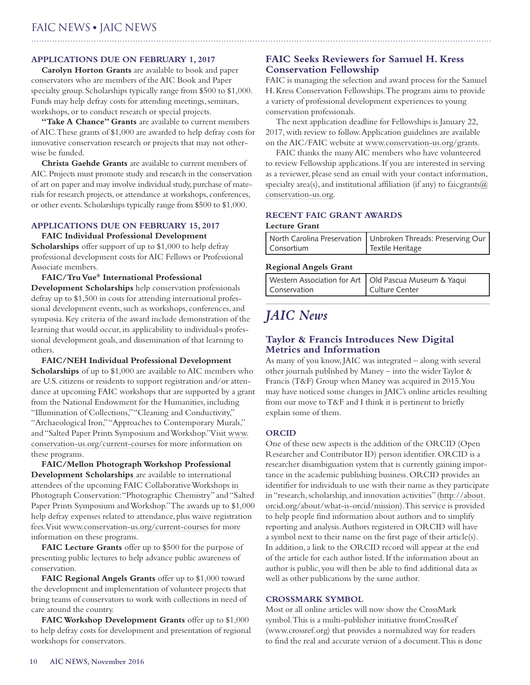## **APPLICATIONS DUE ON FEBRUARY 1, 2017**

**Carolyn Horton Grants** are available to book and paper conservators who are members of the AIC Book and Paper specialty group. Scholarships typically range from \$500 to \$1,000. Funds may help defray costs for attending meetings, seminars, workshops, or to conduct research or special projects.

**"Take A Chance" Grants** are available to current members of AIC. These grants of \$1,000 are awarded to help defray costs for innovative conservation research or projects that may not otherwise be funded.

**Christa Gaehde Grants** are available to current members of AIC. Projects must promote study and research in the conservation of art on paper and may involve individual study, purchase of materials for research projects, or attendance at workshops, conferences, or other events. Scholarships typically range from \$500 to \$1,000.

#### **APPLICATIONS DUE ON FEBRUARY 15, 2017**

**FAIC Individual Professional Development** 

**Scholarships** offer support of up to \$1,000 to help defray professional development costs for AIC Fellows or Professional Associate members.

**FAIC/Tru Vue® International Professional Development Scholarships** help conservation professionals defray up to \$1,500 in costs for attending international professional development events, such as workshops, conferences, and symposia. Key criteria of the award include demonstration of the learning that would occur, its applicability to individuals professional development goals, and dissemination of that learning to others.

**FAIC/NEH Individual Professional Development Scholarships** of up to \$1,000 are available to AIC members who are U.S. citizens or residents to support registration and/or attendance at upcoming FAIC workshops that are supported by a grant from the National Endowment for the Humanities, including "Illumination of Collections," "Cleaning and Conductivity," "Archaeological Iron," "Approaches to Contemporary Murals," and "Salted Paper Prints Symposium and Workshop." Visit [www.](http://www.conservation-us.org/current-courses) [conservation-us.org/current-courses](http://www.conservation-us.org/current-courses) for more information on these programs.

**FAIC/Mellon Photograph Workshop Professional Development Scholarships** are available to international attendees of the upcoming FAIC Collaborative Workshops in Photograph Conservation: "Photographic Chemistry" and "Salted Paper Prints Symposium and Workshop." The awards up to \$1,000 help defray expenses related to attendance, plus waive registration fees. Visit [www.conservation-us.org/current-courses](http://www.conservation-us.org/current-courses) for more information on these programs.

**FAIC Lecture Grants** offer up to \$500 for the purpose of presenting public lectures to help advance public awareness of conservation.

FAIC Regional Angels Grants offer up to \$1,000 toward the development and implementation of volunteer projects that bring teams of conservators to work with collections in need of care around the country.

**FAIC Workshop Development Grants** offer up to \$1,000 to help defray costs for development and presentation of regional workshops for conservators.

# **FAIC Seeks Reviewers for Samuel H. Kress Conservation Fellowship**

FAIC is managing the selection and award process for the Samuel H. Kress Conservation Fellowships. The program aims to provide a variety of professional development experiences to young conservation professionals.

The next application deadline for Fellowships is January 22, 2017, with review to follow. Application guidelines are available on the AIC/FAIC website at [www.conservation-us.org/grants.](http://www.conservation-us.org/grants)

FAIC thanks the many AIC members who have volunteered to review Fellowship applications. If you are interested in serving as a reviewer, please send an email with your contact information, specialty area(s), and institutional affiliation (if any) to faicgrants  $\omega$ [conservation-us.org](mailto:faicgrants@conservation-us.org).

# **RECENT FAIC GRANT AWARDS**

#### **Lecture Grant**

|            | North Carolina Preservation   Unbroken Threads: Preserving Our |
|------------|----------------------------------------------------------------|
| Consortium | Textile Heritage                                               |

#### **Regional Angels Grant**

| Conservation | Western Association for Art   Old Pascua Museum & Yaqui<br>  Culture Center |
|--------------|-----------------------------------------------------------------------------|
|--------------|-----------------------------------------------------------------------------|

# *JAIC News*

## **Taylor & Francis Introduces New Digital Metrics and Information**

As many of you know, JAIC was integrated – along with several other journals published by Maney – into the wider Taylor & Francis (T&F) Group when Maney was acquired in 2015. You may have noticed some changes in JAIC's online articles resulting from our move to T&F and I think it is pertinent to briefly explain some of them.

## **ORCID**

One of these new aspects is the addition of the ORCID (Open Researcher and Contributor ID) person identifier. ORCID is a researcher disambiguation system that is currently gaining importance in the academic publishing business. ORCID provides an identifier for individuals to use with their name as they participate in "research, scholarship, and innovation activities" (http://about. orcid.org/about/what-is-orcid/mission). This service is provided to help people find information about authors and to simplify reporting and analysis. Authors registered in ORCID will have a symbol next to their name on the first page of their article(s). In addition, a link to the ORCID record will appear at the end of the article for each author listed. If the information about an author is public, you will then be able to find additional data as well as other publications by the same author.

## **CROSSMARK SYMBOL**

Most or all online articles will now show the CrossMark symbol. This is a multi-publisher initiative fromCrossRef (www.crossref.org) that provides a normalized way for readers to find the real and accurate version of a document. This is done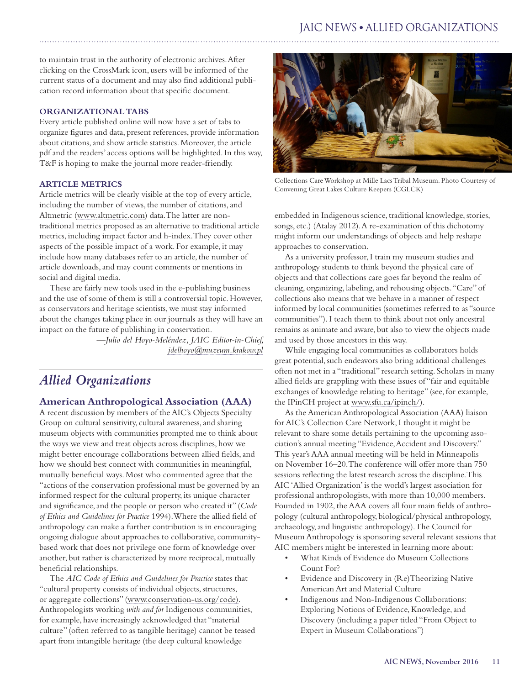# JAIC NEWS **•** ALLIED ORGANIZATIONS

to maintain trust in the authority of electronic archives. After clicking on the CrossMark icon, users will be informed of the current status of a document and may also find additional publication record information about that specific document.

#### **ORGANIZATIONAL TABS**

Every article published online will now have a set of tabs to organize figures and data, present references, provide information about citations, and show article statistics. Moreover, the article pdf and the readers' access options will be highlighted. In this way, T&F is hoping to make the journal more reader-friendly.

#### **ARTICLE METRICS**

Article metrics will be clearly visible at the top of every article, including the number of views, the number of citations, and Altmetric (www.altmetric.com) data. The latter are nontraditional metrics proposed as an alternative to traditional article metrics, including impact factor and h-index. They cover other aspects of the possible impact of a work. For example, it may include how many databases refer to an article, the number of article downloads, and may count comments or mentions in social and digital media.

These are fairly new tools used in the e-publishing business and the use of some of them is still a controversial topic. However, as conservators and heritage scientists, we must stay informed about the changes taking place in our journals as they will have an impact on the future of publishing in conservation.

> *—Julio del Hoyo-Meléndez, JAIC Editor-in-Chief, jdelhoyo@muzeum.krakow.pl*

# *Allied Organizations*

#### **American Anthropological Association (AAA)**

A recent discussion by members of the AIC's Objects Specialty Group on cultural sensitivity, cultural awareness, and sharing museum objects with communities prompted me to think about the ways we view and treat objects across disciplines, how we might better encourage collaborations between allied fields, and how we should best connect with communities in meaningful, mutually beneficial ways. Most who commented agree that the "actions of the conservation professional must be governed by an informed respect for the cultural property, its unique character and significance, and the people or person who created it" (*Code of Ethics and Guidelines for Practice* 1994). Where the allied field of anthropology can make a further contribution is in encouraging ongoing dialogue about approaches to collaborative, communitybased work that does not privilege one form of knowledge over another, but rather is characterized by more reciprocal, mutually beneficial relationships.

The *AIC Code of Ethics and Guidelines for Practice* states that "cultural property consists of individual objects, structures, or aggregate collections" [\(www.conservation-us.org/code\)](http://www.conservation-us.org/our-organizations/association-(aic)/governance/code-of-ethics-and-guidelines-for-practice/)). Anthropologists working *with and for* Indigenous communities, for example, have increasingly acknowledged that "material culture" (often referred to as tangible heritage) cannot be teased apart from intangible heritage (the deep cultural knowledge



Collections Care Workshop at Mille Lacs Tribal Museum. Photo Courtesy of Convening Great Lakes Culture Keepers (CGLCK)

embedded in Indigenous science, traditional knowledge, stories, songs, etc.) (Atalay 2012). A re-examination of this dichotomy might inform our understandings of objects and help reshape approaches to conservation.

As a university professor, I train my museum studies and anthropology students to think beyond the physical care of objects and that collections care goes far beyond the realm of cleaning, organizing, labeling, and rehousing objects. "Care" of collections also means that we behave in a manner of respect informed by local communities (sometimes referred to as "source communities"). I teach them to think about not only ancestral remains as animate and aware, but also to view the objects made and used by those ancestors in this way.

While engaging local communities as collaborators holds great potential, such endeavors also bring additional challenges often not met in a "traditional" research setting. Scholars in many allied fields are grappling with these issues of "fair and equitable exchanges of knowledge relating to heritage" (see, for example, the IPinCH project at [www.sfu.ca/ipinch/](http://www.sfu.ca/ipinch/)).

As the American Anthropological Association (AAA) liaison for AIC's Collection Care Network, I thought it might be relevant to share some details pertaining to the upcoming association's annual meeting "Evidence, Accident and Discovery." This year's AAA annual meeting will be held in Minneapolis on November 16–20. The conference will offer more than 750 sessions reflecting the latest research across the discipline. This AIC 'Allied Organization' is the world's largest association for professional anthropologists, with more than 10,000 members. Founded in 1902, the AAA covers all four main fields of anthropology (cultural anthropology, biological/physical anthropology, archaeology, and linguistic anthropology). The Council for Museum Anthropology is sponsoring several relevant sessions that AIC members might be interested in learning more about:

- What Kinds of Evidence do Museum Collections Count For?
- Evidence and Discovery in (Re)Theorizing Native American Art and Material Culture
- Indigenous and Non-Indigenous Collaborations: Exploring Notions of Evidence, Knowledge, and Discovery (including a paper titled "From Object to Expert in Museum Collaborations")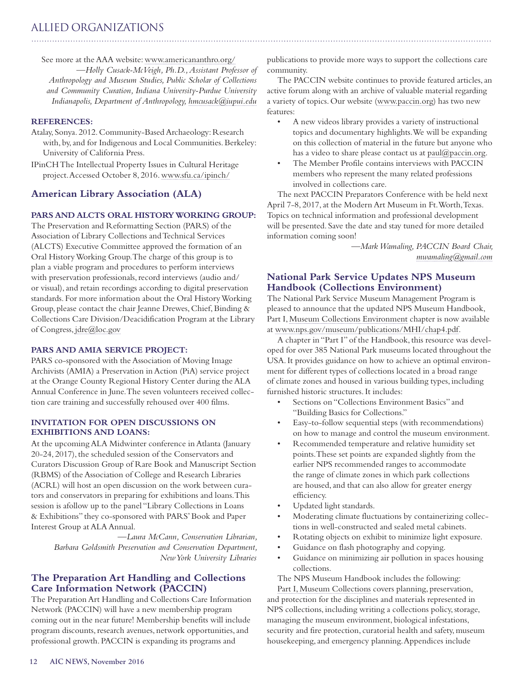# ALLIED ORGANIZATIONS

See more at the AAA website: [www.americananthro.org/](http://www.americananthro.org/)

—*Holly Cusack-McVeigh, Ph.D., Assistant Professor of Anthropology and Museum Studies, Public Scholar of Collections and Community Curation, Indiana University-Purdue University Indianapolis, Department of Anthropology, [hmcusack@iupui.edu](mailto:hmcusack@iupui.edu)*

#### **REFERENCES:**

Atalay, Sonya. 2012. Community-Based Archaeology: Research with, by, and for Indigenous and Local Communities. Berkeley: University of California Press.

IPinCH The Intellectual Property Issues in Cultural Heritage project. Accessed October 8, 2016. [www.sfu.ca/ipinch/](http://www.sfu.ca/ipinch/)

## **American Library Association (ALA)**

## **PARS AND ALCTS ORAL HISTORY WORKING GROUP:**

The Preservation and Reformatting Section (PARS) of the Association of Library Collections and Technical Services (ALCTS) Executive Committee approved the formation of an Oral History Working Group. The charge of this group is to plan a viable program and procedures to perform interviews with preservation professionals, record interviews (audio and/ or visual), and retain recordings according to digital preservation standards. For more information about the Oral History Working Group, please contact the chair Jeanne Drewes, Chief, Binding & Collections Care Division/Deacidification Program at the Library of Congress, [jdre@loc.gov](mailto:jdre@loc.gov)

#### **PARS AND AMIA SERVICE PROJECT:**

PARS co-sponsored with the Association of Moving Image Archivists (AMIA) a Preservation in Action (PiA) service project at the Orange County Regional History Center during the ALA Annual Conference in June. The seven volunteers received collection care training and successfully rehoused over 400 films.

#### **INVITATION FOR OPEN DISCUSSIONS ON EXHIBITIONS AND LOANS:**

At the upcoming ALA Midwinter conference in Atlanta (January 20-24, 2017), the scheduled session of the Conservators and Curators Discussion Group of Rare Book and Manuscript Section (RBMS) of the Association of College and Research Libraries (ACRL) will host an open discussion on the work between curators and conservators in preparing for exhibitions and loans. This session is afollow up to the panel "Library Collections in Loans & Exhibitions" they co-sponsored with PARS' Book and Paper Interest Group at ALA Annual.

*—Laura McCann, Conservation Librarian, Barbara Goldsmith Preservation and Conservation Department, New York University Libraries*

## **The Preparation Art Handling and Collections Care Information Network (PACCIN)**

The Preparation Art Handling and Collections Care Information Network (PACCIN) will have a new membership program coming out in the near future! Membership benefits will include program discounts, research avenues, network opportunities, and professional growth. PACCIN is expanding its programs and

publications to provide more ways to support the collections care community.

The PACCIN website continues to provide featured articles, an active forum along with an archive of valuable material regarding a variety of topics. Our website ([www.paccin.org\)](http://www.paccin.org) has two new features:

- A new videos library provides a variety of instructional topics and documentary highlights. We will be expanding on this collection of material in the future but anyone who has a video to share please contact us at paul@paccin.org.
- The Member Profile contains interviews with PACCIN members who represent the many related professions involved in collections care.

The next PACCIN Preparators Conference with be held next April 7-8, 2017, at the Modern Art Museum in Ft. Worth, Texas. Topics on technical information and professional development will be presented. Save the date and stay tuned for more detailed information coming soon!

> *—Mark Wamaling, PACCIN Board Chair, mwamaling@gmail.com*

# **National Park Service Updates NPS Museum Handbook (Collections Environment)**

The National Park Service Museum Management Program is pleased to announce that the updated NPS Museum Handbook, Part I, [Museum Collections Environment](https://www.nps.gov/museum/publications/MHI/chap4.pdf) chapter is now available at [www.nps.gov/museum/publications/MHI/chap4.pdf](http://www.nps.gov/museum/publications/MHI/chap4.pdf).

A chapter in "Part I" of the Handbook, this resource was developed for over 385 National Park museums located throughout the USA. It provides guidance on how to achieve an optimal environment for different types of collections located in a broad range of climate zones and housed in various building types, including furnished historic structures. It includes:

- Sections on "Collections Environment Basics" and "Building Basics for Collections."
- Easy-to-follow sequential steps (with recommendations) on how to manage and control the museum environment.
- • Recommended temperature and relative humidity set points. These set points are expanded slightly from the earlier NPS recommended ranges to accommodate the range of climate zones in which park collections are housed, and that can also allow for greater energy efficiency.
- Updated light standards.
- Moderating climate fluctuations by containerizing collections in well-constructed and sealed metal cabinets.
- • Rotating objects on exhibit to minimize light exposure.
- Guidance on flash photography and copying.
- Guidance on minimizing air pollution in spaces housing collections.

The NPS Museum Handbook includes the following:

[Part I, Museum Collections](https://www.nps.gov/museum/publications/MHI/mushbkI.html) covers planning, preservation, and protection for the disciplines and materials represented in NPS collections, including writing a collections policy, storage, managing the museum environment, biological infestations, security and fire protection, curatorial health and safety, museum housekeeping, and emergency planning. Appendices include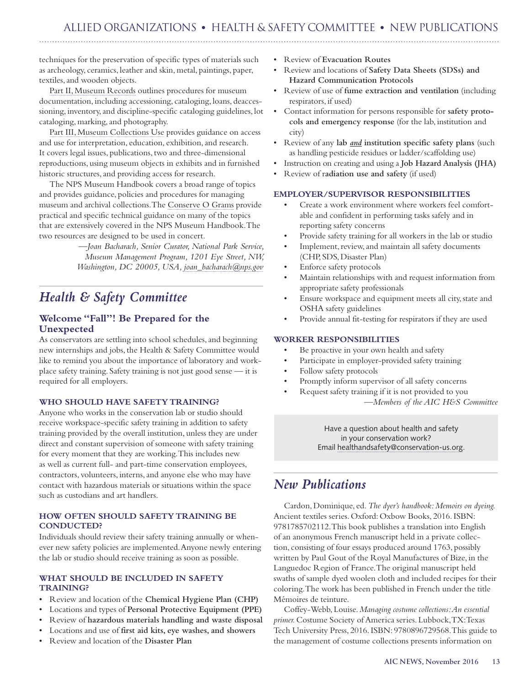techniques for the preservation of specific types of materials such as archeology, ceramics, leather and skin, metal, paintings, paper, textiles, and wooden objects.

[Part II, Museum Records](https://www.nps.gov/museum/publications/MHII/mushbkII.htmll) outlines procedures for museum documentation, including accessioning, cataloging, loans, deaccessioning, inventory, and discipline-specific cataloging guidelines, lot cataloging, marking, and photography.

[Part III, Museum Collections Use](https://www.nps.gov/museum/publications/MHIII/mushbkIII.html) provides guidance on access and use for interpretation, education, exhibition, and research. It covers legal issues, publications, two and three-dimensional reproductions, using museum objects in exhibits and in furnished historic structures, and providing access for research.

The NPS Museum Handbook covers a broad range of topics and provides guidance, policies and procedures for managing museum and archival collections. The [Conserve O Grams](https://www.nps.gov/museum/publications/conserveogram/cons_toc.html) provide practical and specific technical guidance on many of the topics that are extensively covered in the NPS Museum Handbook. The two resources are designed to be used in concert.

> *—Joan Bacharach, Senior Curator, National Park Service, Museum Management Program, 1201 Eye Street, NW, Washington, DC 20005, USA, joan\_bacharach@nps.gov*

# *Health & Safety Committee*

# **Welcome "Fall"! Be Prepared for the Unexpected**

As conservators are settling into school schedules, and beginning new internships and jobs, the Health & Safety Committee would like to remind you about the importance of laboratory and workplace safety training. Safety training is not just good sense — it is required for all employers.

## **WHO SHOULD HAVE SAFETY TRAINING?**

Anyone who works in the conservation lab or studio should receive workspace-specific safety training in addition to safety training provided by the overall institution, unless they are under direct and constant supervision of someone with safety training for every moment that they are working. This includes new as well as current full- and part-time conservation employees, contractors, volunteers, interns, and anyone else who may have contact with hazardous materials or situations within the space such as custodians and art handlers.

#### **HOW OFTEN SHOULD SAFETY TRAINING BE CONDUCTED?**

Individuals should review their safety training annually or whenever new safety policies are implemented. Anyone newly entering the lab or studio should receive training as soon as possible.

## **WHAT SHOULD BE INCLUDED IN SAFETY TRAINING?**

- • Review and location of the **Chemical Hygiene Plan (CHP)**
- Locations and types of Personal Protective Equipment (PPE)
- Review of hazardous materials handling and waste disposal
- Locations and use of first aid kits, eye washes, and showers
- **Review and location of the Disaster Plan**
- • Review of **Evacuation Routes**
- • Review and locations of **Safety Data Sheets (SDSs) and Hazard Communication Protocols**
- • Review of use of **fume extraction and ventilation** (including respirators, if used)
- Contact information for persons responsible for safety proto**cols and emergency response** (for the lab, institution and city)
- • Review of any **lab** *and* **institution specific safety plans** (such as handling pesticide residues or ladder/scaffolding use)
- Instruction on creating and using a Job Hazard Analysis (JHA)
- • Review of r**adiation use and safety** (if used)

#### **EMPLOYER/SUPERVISOR RESPONSIBILITIES**

- Create a work environment where workers feel comfortable and confident in performing tasks safely and in reporting safety concerns
- Provide safety training for all workers in the lab or studio
- Implement, review, and maintain all safety documents (CHP, SDS, Disaster Plan)
- Enforce safety protocols
- Maintain relationships with and request information from appropriate safety professionals
- Ensure workspace and equipment meets all city, state and OSHA safety guidelines
- Provide annual fit-testing for respirators if they are used

#### **WORKER RESPONSIBILITIES**

- Be proactive in your own health and safety
- Participate in employer-provided safety training
- Follow safety protocols
- Promptly inform supervisor of all safety concerns
- Request safety training if it is not provided to you

—*Members of the AIC H&S Committee*

Have a question about health and safety in your conservation work? Email [healthandsafety@conservation-us.org.](mailto:HealthandSafety%40conservation-us.org?subject=)

# *New Publications*

Cardon, Dominique, ed. *The dyer's handbook: Memoirs on dyeing.*  Ancient textiles series. Oxford: Oxbow Books, 2016. ISBN: 9781785702112. This book publishes a translation into English of an anonymous French manuscript held in a private collection, consisting of four essays produced around 1763, possibly written by Paul Gout of the Royal Manufactures of Bize, in the Languedoc Region of France. The original manuscript held swaths of sample dyed woolen cloth and included recipes for their coloring. The work has been published in French under the title Mémoires de teinture.

Coffey-Webb, Louise. *Managing costume collections: An essential primer.* Costume Society of America series. Lubbock, TX: Texas Tech University Press, 2016. ISBN: 9780896729568. This guide to the management of costume collections presents information on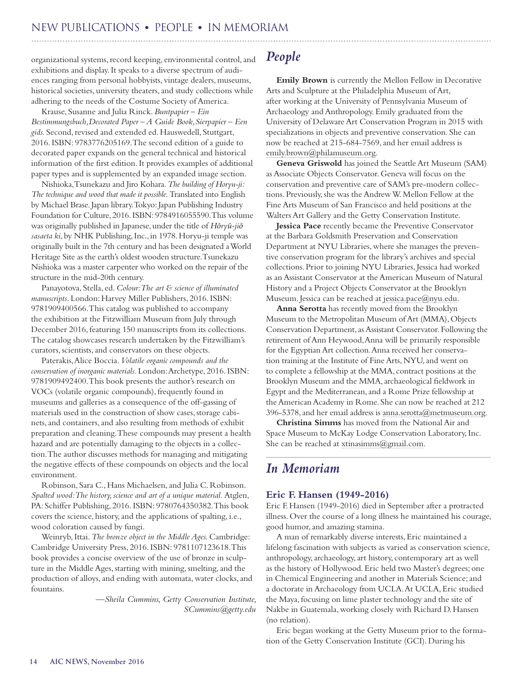# <span id="page-13-0"></span>NEW PUBLICATIONS **•** PEOPLE **•** IN MEMORIAM

organizational systems, record keeping, environmental control, and exhibitions and display. It speaks to a diverse spectrum of audiences ranging from personal hobbyists, vintage dealers, museums, historical societies, university theaters, and study collections while adhering to the needs of the Costume Society of America.

Krause, Susanne and Julia Rinck. *Buntpapier – Ein Bestimmungsbuch,Decorated Paper – A Guide Book,Sierpapier – Een gids.* Second, revised and extended ed. Hauswedell, Stuttgart, 2016. ISBN: 9783776205169. The second edition of a guide to decorated paper expands on the general technical and historical information of the first edition. It provides examples of additional paper types and is supplemented by an expanded image section.

Nishioka, Tsunekazu and Jiro Kohara. *The building of Horyu-ji: The technique and wood that made it possible.* Translated into English by Michael Brase. Japan library. Tokyo: Japan Publishing Industry Foundation for Culture, 2016. ISBN: 9784916055590. This volume was originally published in Japanese, under the title of *Hōryū-jiō sasaeta ki*, by NHK Publishing, Inc., in 1978. Horyu-ji temple was originally built in the 7th century and has been designated a World Heritage Site as the earth's oldest wooden structure. Tsunekazu Nishioka was a master carpenter who worked on the repair of the structure in the mid-20th century.

Panayotova, Stella, ed. *Colour: The art & science of illuminated manuscripts*. London: Harvey Miller Publishers, 2016. ISBN: 9781909400566. This catalog was published to accompany the exhibition at the Fitzwilliam Museum from July through December 2016, featuring 150 manuscripts from its collections. The catalog showcases research undertaken by the Fitzwilliam's curators, scientists, and conservators on these objects.

Paterakis, Alice Boccia. *Volatile organic compounds and the conservation of inorganic materials*. London: Archetype, 2016. ISBN: 9781909492400. This book presents the author's research on VOCs (volatile organic compounds), frequently found in museums and galleries as a consequence of the off-gassing of materials used in the construction of show cases, storage cabinets, and containers, and also resulting from methods of exhibit preparation and cleaning. These compounds may present a health hazard and are potentially damaging to the objects in a collection. The author discusses methods for managing and mitigating the negative effects of these compounds on objects and the local environment.

Robinson, Sara C., Hans Michaelsen, and Julia C. Robinson. *Spalted wood: The history, science and art of a unique material.* Atglen, PA: Schiffer Publishing, 2016. ISBN: 9780764350382. This book covers the science, history, and the applications of spalting, i.e., wood coloration caused by fungi.

Weinryb, Ittai. *The bronze object in the Middle Ages.* Cambridge: Cambridge University Press, 2016. ISBN: 9781107123618. This book provides a concise overview of the use of bronze in sculpture in the Middle Ages, starting with mining, smelting, and the production of alloys, and ending with automata, water clocks, and fountains.

> *—Sheila Cummins, Getty Conservation Institute, SCummins@getty.edu*

# *People*

**Emily Brown** is currently the Mellon Fellow in Decorative Arts and Sculpture at the Philadelphia Museum of Art, after working at the University of Pennsylvania Museum of Archaeology and Anthropology. Emily graduated from the University of Delaware Art Conservation Program in 2015 with specializations in objects and preventive conservation. She can now be reached at 215-684-7569, and her email address is emily.brown@philamuseum.org.

**Geneva Griswold** has joined the Seattle Art Museum (SAM) as Associate Objects Conservator. Geneva will focus on the conservation and preventive care of SAM's pre-modern collections. Previously, she was the Andrew W. Mellon Fellow at the Fine Arts Museum of San Francisco and held positions at the Walters Art Gallery and the Getty Conservation Institute.

**Jessica Pace** recently became the Preventive Conservator at the Barbara Goldsmith Preservation and Conservation Department at NYU Libraries, where she manages the preventive conservation program for the library's archives and special collections. Prior to joining NYU Libraries, Jessica had worked as an Assistant Conservator at the American Museum of Natural History and a Project Objects Conservator at the Brooklyn Museum. Jessica can be reached at [jessica.pace@nyu.edu](mailto:jessica.pace@nyu.edu).

**Anna Serotta** has recently moved from the Brooklyn Museum to the Metropolitan Museum of Art (MMA), Objects Conservation Department, as Assistant Conservator. Following the retirement of Ann Heywood, Anna will be primarily responsible for the Egyptian Art collection. Anna received her conservation training at the Institute of Fine Arts, NYU, and went on to complete a fellowship at the MMA, contract positions at the Brooklyn Museum and the MMA, archaeological fieldwork in Egypt and the Mediterranean, and a Rome Prize fellowship at the American Academy in Rome. She can now be reached at 212 396-5378, and her email address is anna.serotta@metmuseum.org.

**Christina Simms** has moved from the National Air and Space Museum to McKay Lodge Conservation Laboratory, Inc. She can be reached at xtinasimms@gmail.com.

# *In Memoriam*

## **Eric F. Hansen (1949-2016)**

Eric F. Hansen (1949-2016) died in September after a protracted illness. Over the course of a long illness he maintained his courage, good humor, and amazing stamina.

A man of remarkably diverse interests, Eric maintained a lifelong fascination with subjects as varied as conservation science, anthropology, archaeology, art history, contemporary art as well as the history of Hollywood. Eric held two Master's degrees; one in Chemical Engineering and another in Materials Science; and a doctorate in Archaeology from UCLA. At UCLA, Eric studied the Maya, focusing on lime plaster technology and the site of Nakbe in Guatemala, working closely with Richard D. Hansen (no relation).

Eric began working at the Getty Museum prior to the formation of the Getty Conservation Institute (GCI). During his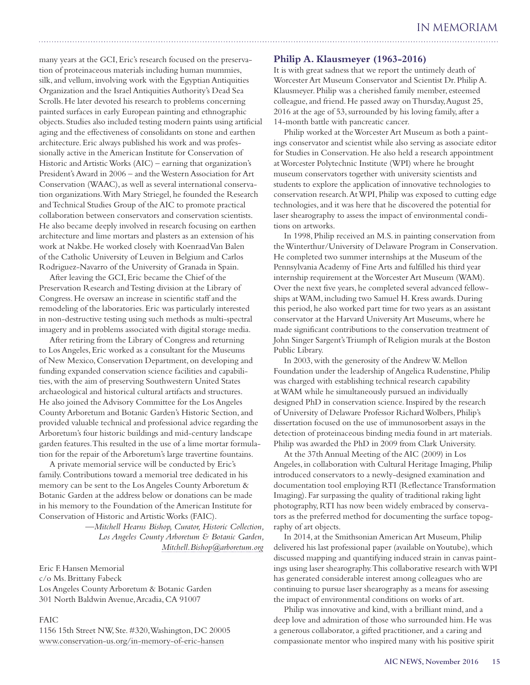many years at the GCI, Eric's research focused on the preservation of proteinaceous materials including human mummies, silk, and vellum, involving work with the Egyptian Antiquities Organization and the Israel Antiquities Authority's Dead Sea Scrolls. He later devoted his research to problems concerning painted surfaces in early European painting and ethnographic objects. Studies also included testing modern paints using artificial aging and the effectiveness of consolidants on stone and earthen architecture. Eric always published his work and was professionally active in the American Institute for Conservation of Historic and Artistic Works (AIC) – earning that organization's President's Award in 2006 – and the Western Association for Art Conservation (WAAC), as well as several international conservation organizations. With Mary Striegel, he founded the Research and Technical Studies Group of the AIC to promote practical collaboration between conservators and conservation scientists. He also became deeply involved in research focusing on earthen architecture and lime mortars and plasters as an extension of his work at Nakbe. He worked closely with Koenraad Van Balen of the Catholic University of Leuven in Belgium and Carlos Rodriguez-Navarro of the University of Granada in Spain.

After leaving the GCI, Eric became the Chief of the Preservation Research and Testing division at the Library of Congress. He oversaw an increase in scientific staff and the remodeling of the laboratories. Eric was particularly interested in non-destructive testing using such methods as multi-spectral imagery and in problems associated with digital storage media.

After retiring from the Library of Congress and returning to Los Angeles, Eric worked as a consultant for the Museums of New Mexico, Conservation Department, on developing and funding expanded conservation science facilities and capabilities, with the aim of preserving Southwestern United States archaeological and historical cultural artifacts and structures. He also joined the Advisory Committee for the Los Angeles County Arboretum and Botanic Garden's Historic Section, and provided valuable technical and professional advice regarding the Arboretum's four historic buildings and mid-century landscape garden features. This resulted in the use of a lime mortar formulation for the repair of the Arboretum's large travertine fountains.

A private memorial service will be conducted by Eric's family. Contributions toward a memorial tree dedicated in his memory can be sent to the Los Angeles County Arboretum & Botanic Garden at the address below or donations can be made in his memory to the Foundation of the American Institute for Conservation of Historic and Artistic Works (FAIC).

> —*Mitchell Hearns Bishop, Curator, Historic Collection, Los Angeles County Arboretum & Botanic Garden, Mitchell.Bishop@arboretum.org*

Eric F. Hansen Memorial c/o Ms. Brittany Fabeck Los Angeles County Arboretum & Botanic Garden 301 North Baldwin Avenue, Arcadia, CA 91007

#### FAIC

1156 15th Street NW, Ste. #320, Washington, DC 20005 www.conservation-us.org/in-memory-of-eric-hansen

# **Philip A. Klausmeyer (1963-2016)**

It is with great sadness that we report the untimely death of Worcester Art Museum Conservator and Scientist Dr. Philip A. Klausmeyer. Philip was a cherished family member, esteemed colleague, and friend. He passed away on Thursday, August 25, 2016 at the age of 53, surrounded by his loving family, after a 14-month battle with pancreatic cancer.

Philip worked at the Worcester Art Museum as both a paintings conservator and scientist while also serving as associate editor for Studies in Conservation. He also held a research appointment at Worcester Polytechnic Institute (WPI) where he brought museum conservators together with university scientists and students to explore the application of innovative technologies to conservation research. At WPI, Philip was exposed to cutting edge technologies, and it was here that he discovered the potential for laser shearography to assess the impact of environmental conditions on artworks.

In 1998, Philip received an M.S. in painting conservation from the Winterthur/University of Delaware Program in Conservation. He completed two summer internships at the Museum of the Pennsylvania Academy of Fine Arts and fulfilled his third year internship requirement at the Worcester Art Museum (WAM). Over the next five years, he completed several advanced fellowships at WAM, including two Samuel H. Kress awards. During this period, he also worked part time for two years as an assistant conservator at the Harvard University Art Museums, where he made significant contributions to the conservation treatment of John Singer Sargent's Triumph of Religion murals at the Boston Public Library.

In 2003, with the generosity of the Andrew W. Mellon Foundation under the leadership of Angelica Rudenstine, Philip was charged with establishing technical research capability at WAM while he simultaneously pursued an individually designed PhD in conservation science. Inspired by the research of University of Delaware Professor Richard Wolbers, Philip's dissertation focused on the use of immunosorbent assays in the detection of proteinaceous binding media found in art materials. Philip was awarded the PhD in 2009 from Clark University.

At the 37th Annual Meeting of the AIC (2009) in Los Angeles, in collaboration with Cultural Heritage Imaging, Philip introduced conservators to a newly-designed examination and documentation tool employing RTI (Reflectance Transformation Imaging). Far surpassing the quality of traditional raking light photography, RTI has now been widely embraced by conservators as the preferred method for documenting the surface topography of art objects.

In 2014, at the Smithsonian American Art Museum, Philip delivered his last professional paper (available on Youtube), which discussed mapping and quantifying induced strain in canvas paintings using laser shearography. This collaborative research with WPI has generated considerable interest among colleagues who are continuing to pursue laser shearography as a means for assessing the impact of environmental conditions on works of art.

Philip was innovative and kind, with a brilliant mind, and a deep love and admiration of those who surrounded him. He was a generous collaborator, a gifted practitioner, and a caring and compassionate mentor who inspired many with his positive spirit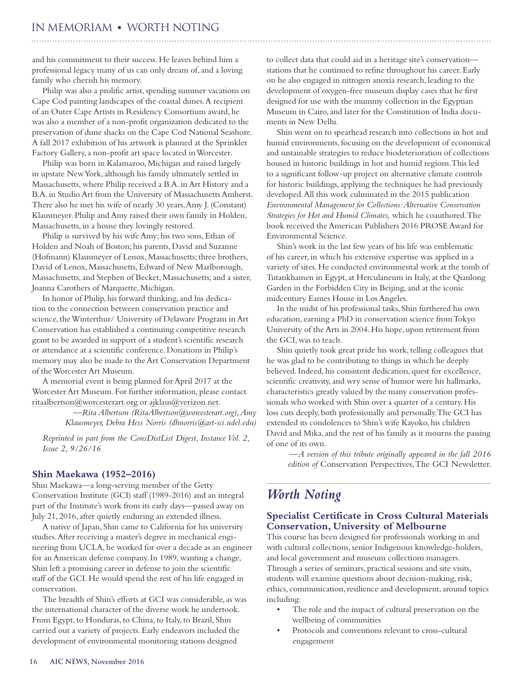# <span id="page-15-0"></span>IN MEMORIAM **•** WORTH NOTING

and his commitment to their success. He leaves behind him a professional legacy many of us can only dream of, and a loving family who cherish his memory.

Philip was also a prolific artist, spending summer vacations on Cape Cod painting landscapes of the coastal dunes. A recipient of an Outer Cape Artists in Residency Consortium award, he was also a member of a non-profit organization dedicated to the preservation of dune shacks on the Cape Cod National Seashore. A fall 2017 exhibition of his artwork is planned at the Sprinkler Factory Gallery, a non-profit art space located in Worcester.

Philip was born in Kalamazoo, Michigan and raised largely in upstate New York, although his family ultimately settled in Massachusetts, where Philip received a B.A. in Art History and a B.A. in Studio Art from the University of Massachusetts Amherst. There also he met his wife of nearly 30 years, Amy J. (Constant) Klausmeyer. Philip and Amy raised their own family in Holden, Massachusetts, in a house they lovingly restored.

Philip is survived by his wife Amy; his two sons, Ethan of Holden and Noah of Boston; his parents, David and Suzanne (Hofmann) Klausmeyer of Lenox, Massachusetts; three brothers, David of Lenox, Massachusetts, Edward of New Marlborough, Massachusetts, and Stephen of Becket, Massachusetts; and a sister, Joanna Carothers of Marquette, Michigan.

In honor of Philip, his forward thinking, and his dedication to the connection between conservation practice and science, the Winterthur/ University of Delaware Program in Art Conservation has established a continuing competitive research grant to be awarded in support of a student's scientific research or attendance at a scientific conference. Donations in Philip's memory may also be made to the Art Conservation Department of the Worcester Art Museum.

A memorial event is being planned for April 2017 at the Worcester Art Museum. For further information, please contact [ritaalbertson@worcesterart.org](mailto:ritaalbertson@worcesterart.org) or [ajklaus@verizon.net.](mailto:ajklaus@verizon.net)

> *—Rita Albertson (RitaAlbertson@worcesterart.org), Amy Klausmeyer, Debra Hess Norris (dhnorris@art-sci.udel.edu)*

*Reprinted in part from the ConsDistList Digest, Instance Vol. 2, Issue 2, 9/26/16*

#### **Shin Maekawa (1952–2016)**

Shin Maekawa—a long-serving member of the Getty Conservation Institute (GCI) staff (1989-2016) and an integral part of the Institute's work from its early days—passed away on July 21, 2016, after quietly enduring an extended illness.

A native of Japan, Shin came to California for his university studies. After receiving a master's degree in mechanical engineering from UCLA, he worked for over a decade as an engineer for an American defense company. In 1989, wanting a change, Shin left a promising career in defense to join the scientific staff of the GCI. He would spend the rest of his life engaged in conservation.

The breadth of Shin's efforts at GCI was considerable, as was the international character of the diverse work he undertook. From Egypt, to Honduras, to China, to Italy, to Brazil, Shin carried out a variety of projects. Early endeavors included the development of environmental monitoring stations designed

to collect data that could aid in a heritage site's conservation stations that he continued to refine throughout his career. Early on he also engaged in nitrogen anoxia research, leading to the development of oxygen-free museum display cases that he first designed for use with the mummy collection in the Egyptian Museum in Cairo, and later for the Constitution of India documents in New Delhi.

Shin went on to spearhead research into collections in hot and humid environments, focusing on the development of economical and sustainable strategies to reduce biodeterioration of collections housed in historic buildings in hot and humid regions. This led to a significant follow-up project on alternative climate controls for historic buildings, applying the techniques he had previously developed. All this work culminated in the 2015 publication *Environmental Management for Collections: Alternative Conservation Strategies for Hot and Humid Climates,* which he coauthored. The book received the American Publishers 2016 PROSE Award for Environmental Science.

Shin's work in the last few years of his life was emblematic of his career, in which his extensive expertise was applied in a variety of sites. He conducted environmental work at the tomb of Tutankhamen in Egypt, at Herculaneum in Italy, at the Qianlong Garden in the Forbidden City in Beijing, and at the iconic midcentury Eames House in Los Angeles.

In the midst of his professional tasks, Shin furthered his own education, earning a PhD in conservation science from Tokyo University of the Arts in 2004. His hope, upon retirement from the GCI, was to teach.

Shin quietly took great pride his work, telling colleagues that he was glad to be contributing to things in which he deeply believed. Indeed, his consistent dedication, quest for excellence, scientific creativity, and wry sense of humor were his hallmarks, characteristics greatly valued by the many conservation professionals who worked with Shin over a quarter of a century. His loss cuts deeply, both professionally and personally. The GCI has extended its condolences to Shin's wife Kayoko, his children David and Mika, and the rest of his family as it mourns the passing of one of its own.

*—A version of this tribute originally appeared in the fall 2016 edition of* Conservation Perspectives, The GCI Newsletter.

# *Worth Noting*

## **Specialist Certificate in Cross Cultural Materials Conservation, University of Melbourne**

This course has been designed for professionals working in and with cultural collections, senior Indigenous knowledge-holders, and local government and museum collections managers. Through a series of seminars, practical sessions and site visits, students will examine questions about decision-making, risk, ethics, communication, resilience and development, around topics including:

- The role and the impact of cultural preservation on the wellbeing of communities
- Protocols and conventions relevant to cross-cultural engagement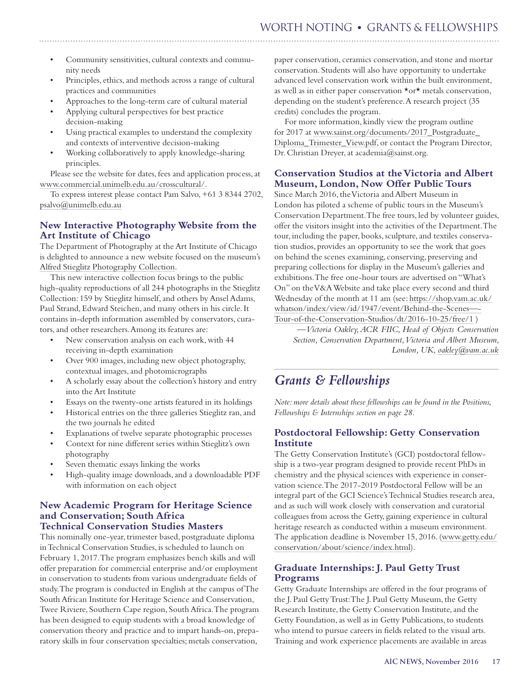# WORTH NOTING **•** GRANTS & FELLOWSHIPS

Community sensitivities, cultural contexts and community needs

- Principles, ethics, and methods across a range of cultural practices and communities
- Approaches to the long-term care of cultural material
- Applying cultural perspectives for best practice decision-making
- Using practical examples to understand the complexity and contexts of interventive decision-making
- Working collaboratively to apply knowledge-sharing principles.

Please see the website for dates, fees and application process, at [www.commercial.unimelb.edu.au/crosscultural/.](http://www.commercial.unimelb.edu.au/crosscultural/)

To express interest please contact Pam Salvo, +61 3 8344 2702, [psalvo@unimelb.edu.au](mailto:psalvo@unimelb.edu.au)

## **New Interactive Photography Website from the Art Institute of Chicago**

The Department of Photography at the Art Institute of Chicago is delighted to announce a new website focused on the museum's [Alfred Stieglitz Photography Collection](http://media.artic.edu/stieglitz).

This new interactive collection focus brings to the public high-quality reproductions of all 244 photographs in the Stieglitz Collection: 159 by Stieglitz himself, and others by Ansel Adams, Paul Strand, Edward Steichen, and many others in his circle. It contains in-depth information assembled by conservators, curators, and other researchers. Among its features are:

- New conservation analysis on each work, with 44 receiving in-depth examination
- Over 900 images, including new object photography, contextual images, and photomicrographs
- A scholarly essay about the collection's history and entry into the Art Institute
- Essays on the twenty-one artists featured in its holdings
- Historical entries on the three galleries Stieglitz ran, and the two journals he edited
- Explanations of twelve separate photographic processes
- Context for nine different series within Stieglitz's own photography
- Seven thematic essays linking the works
- High-quality image downloads, and a downloadable PDF with information on each object

## **New Academic Program for Heritage Science and Conservation; South Africa Technical Conservation Studies Masters**

This nominally one-year, trimester based, postgraduate diploma in Technical Conservation Studies, is scheduled to launch on February 1, 2017. The program emphasizes bench skills and will offer preparation for commercial enterprise and/or employment in conservation to students from various undergraduate fields of study. The program is conducted in English at the campus of The South African Institute for Heritage Science and Conservation, Twee Riviere, Southern Cape region, South Africa. The program has been designed to equip students with a broad knowledge of conservation theory and practice and to impart hands-on, preparatory skills in four conservation specialties; metals conservation,

paper conservation, ceramics conservation, and stone and mortar conservation. Students will also have opportunity to undertake advanced level conservation work within the built environment, as well as in either paper conservation \*or\* metals conservation, depending on the student's preference. A research project (35 credits) concludes the program.

For more information, kindly view the program outline for 2017 at [www.sainst.org/documents/2017\\_Postgraduate\\_](http://www.sainst.org/documents/2017_Postgraduate_Diploma_Trimester_View.pdf) [Diploma\\_Trimester\\_View.pdf](http://www.sainst.org/documents/2017_Postgraduate_Diploma_Trimester_View.pdf), or contact the Program Director, Dr. Christian Dreyer, at academia@sainst.org.

## **Conservation Studios at the Victoria and Albert Museum, London, Now Offer Public Tours**

Since March 2016, the Victoria and Albert Museum in London has piloted a scheme of public tours in the Museum's Conservation Department. The free tours, led by volunteer guides, offer the visitors insight into the activities of the Department. The tour, including the paper, books, sculpture, and textiles conservation studios, provides an opportunity to see the work that goes on behind the scenes examining, conserving, preserving and preparing collections for display in the Museum's galleries and exhibitions. The free one-hour tours are advertised on "What's On" on the V&A Website and take place every second and third Wednesday of the month at 11 am (see: [https://shop.vam.ac.uk/](https://shop.vam.ac.uk/whatson/index/view/id/1947/event/Behind-the-Scenes---Tour-of-the-Conservation-Studios/dt/2016-10-25/free/1) [whatson/index/view/id/1947/event/Behind-the-Scenes—-](https://shop.vam.ac.uk/whatson/index/view/id/1947/event/Behind-the-Scenes---Tour-of-the-Conservation-Studios/dt/2016-10-25/free/1) [Tour-of-the-Conservation-Studios/dt/2016-10-25/free/1](https://shop.vam.ac.uk/whatson/index/view/id/1947/event/Behind-the-Scenes---Tour-of-the-Conservation-Studios/dt/2016-10-25/free/1) )

*—Victoria Oakley, ACR FIIC, Head of Objects Conservation Section, Conservation Department, Victoria and Albert Museum, London, UK, [oakley@vam.ac.uk](mailto:oakley@vam.ac.uk)*

# *Grants & Fellowships*

*Note: more details about these fellowships can be found in the Positions, Fellowships & Internships section on page 28.* 

# **Postdoctoral Fellowship: Getty Conservation Institute**

The Getty Conservation Institute's (GCI) postdoctoral fellowship is a two-year program designed to provide recent PhDs in chemistry and the physical sciences with experience in conservation science. The 2017-2019 Postdoctoral Fellow will be an integral part of the GCI Science's Technical Studies research area, and as such will work closely with conservation and curatorial colleagues from across the Getty, gaining experience in cultural heritage research as conducted within a museum environment. The application deadline is November 15, 2016. ([www.getty.edu/](http://www.getty.edu/conservation/about/science/index.html) [conservation/about/science/index.html](http://www.getty.edu/conservation/about/science/index.html)).

## **Graduate Internships: J. Paul Getty Trust Programs**

Getty Graduate Internships are offered in the four programs of the J. Paul Getty Trust: The J. Paul Getty Museum, the Getty Research Institute, the Getty Conservation Institute, and the Getty Foundation, as well as in Getty Publications, to students who intend to pursue careers in fields related to the visual arts. Training and work experience placements are available in areas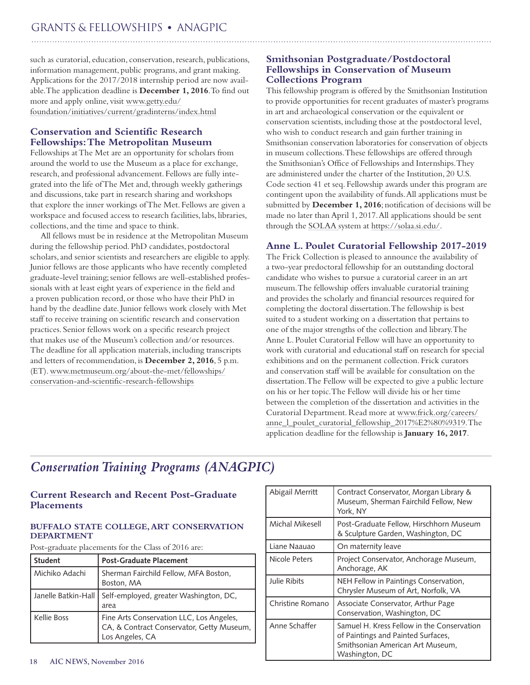# GRANTS & FELLOWSHIPS **•** ANAGPIC

such as curatorial, education, conservation, research, publications, information management, public programs, and grant making. Applications for the 2017/2018 internship period are now available. The application deadline is **December 1, 2016**. To find out more and apply online, visit [www.getty.edu/](http://www.getty.edu/foundation/initiatives/current/gradinterns/index.html) [foundation/initiatives/current/gradinterns/index.html](http://www.getty.edu/foundation/initiatives/current/gradinterns/index.html)

# **Conservation and Scientific Research Fellowships: The Metropolitan Museum**

Fellowships at The Met are an opportunity for scholars from around the world to use the Museum as a place for exchange, research, and professional advancement. Fellows are fully integrated into the life of The Met and, through weekly gatherings and discussions, take part in research sharing and workshops that explore the inner workings of The Met. Fellows are given a workspace and focused access to research facilities, labs, libraries, collections, and the time and space to think.

All fellows must be in residence at the Metropolitan Museum during the fellowship period. PhD candidates, postdoctoral scholars, and senior scientists and researchers are eligible to apply. Junior fellows are those applicants who have recently completed graduate-level training; senior fellows are well-established professionals with at least eight years of experience in the field and a proven publication record, or those who have their PhD in hand by the deadline date. Junior fellows work closely with Met staff to receive training on scientific research and conservation practices. Senior fellows work on a specific research project that makes use of the Museum's collection and/or resources. The deadline for all application materials, including transcripts and letters of recommendation, is **December 2, 2016**, 5 p.m. (ET). [www.metmuseum.org/about-the-met/fellowships/](http://www.metmuseum.org/about-the-met/fellowships/conservation-and-scientific-research-fellowships) [conservation-and-scientific-research-fellowships](http://www.metmuseum.org/about-the-met/fellowships/conservation-and-scientific-research-fellowships)

# **Smithsonian Postgraduate/Postdoctoral Fellowships in Conservation of Museum Collections Program**

This fellowship program is offered by the Smithsonian Institution to provide opportunities for recent graduates of master's programs in art and archaeological conservation or the equivalent or conservation scientists, including those at the postdoctoral level, who wish to conduct research and gain further training in Smithsonian conservation laboratories for conservation of objects in museum collections. These fellowships are offered through the Smithsonian's Office of Fellowships and Internships. They are administered under the charter of the Institution, 20 U.S. Code section 41 et seq. Fellowship awards under this program are contingent upon the availability of funds. All applications must be submitted by **December 1, 2016**; notification of decisions will be made no later than April 1, 2017. All applications should be sent through the [SOLAA](http://solaa.si.edu/) system at<https://solaa.si.edu/>.

# **Anne L. Poulet Curatorial Fellowship 2017-2019**

The Frick Collection is pleased to announce the availability of a two-year predoctoral fellowship for an outstanding doctoral candidate who wishes to pursue a curatorial career in an art museum. The fellowship offers invaluable curatorial training and provides the scholarly and financial resources required for completing the doctoral dissertation. The fellowship is best suited to a student working on a dissertation that pertains to one of the major strengths of the collection and library. The Anne L. Poulet Curatorial Fellow will have an opportunity to work with curatorial and educational staff on research for special exhibitions and on the permanent collection. Frick curators and conservation staff will be available for consultation on the dissertation. The Fellow will be expected to give a public lecture on his or her topic. The Fellow will divide his or her time between the completion of the dissertation and activities in the Curatorial Department. Read more at [www.frick.org/careers/](http://www.frick.org/careers/anne_l_poulet_curatorial_fellowship_2017%E2%80%9319) [anne\\_l\\_poulet\\_curatorial\\_fellowship\\_2017%E2%80%9319.](http://www.frick.org/careers/anne_l_poulet_curatorial_fellowship_2017%E2%80%9319) The application deadline for the fellowship is **January 16, 2017**.

# *Conservation Training Programs (ANAGPIC)*

# **Current Research and Recent Post-Graduate Placements**

## **BUFFALO STATE COLLEGE, ART CONSERVATION DEPARTMENT**

Post-graduate placements for the Class of 2016 are:

| <b>Student</b>      | <b>Post-Graduate Placement</b>                                                                           |  |
|---------------------|----------------------------------------------------------------------------------------------------------|--|
| Michiko Adachi      | Sherman Fairchild Fellow, MFA Boston,<br>Boston, MA                                                      |  |
| Janelle Batkin-Hall | Self-employed, greater Washington, DC,<br>area                                                           |  |
| Kellie Boss         | Fine Arts Conservation LLC, Los Angeles,<br>CA, & Contract Conservator, Getty Museum,<br>Los Angeles, CA |  |

| Abigail Merritt  | Contract Conservator, Morgan Library &<br>Museum, Sherman Fairchild Fellow, New<br>York, NY                                            |
|------------------|----------------------------------------------------------------------------------------------------------------------------------------|
| Michal Mikesell  | Post-Graduate Fellow, Hirschhorn Museum<br>& Sculpture Garden, Washington, DC                                                          |
| Liane Naauao     | On maternity leave                                                                                                                     |
| Nicole Peters    | Project Conservator, Anchorage Museum,<br>Anchorage, AK                                                                                |
| Julie Ribits     | NEH Fellow in Paintings Conservation,<br>Chrysler Museum of Art, Norfolk, VA                                                           |
| Christine Romano | Associate Conservator, Arthur Page<br>Conservation, Washington, DC                                                                     |
| Anne Schaffer    | Samuel H. Kress Fellow in the Conservation<br>of Paintings and Painted Surfaces,<br>Smithsonian American Art Museum,<br>Washington, DC |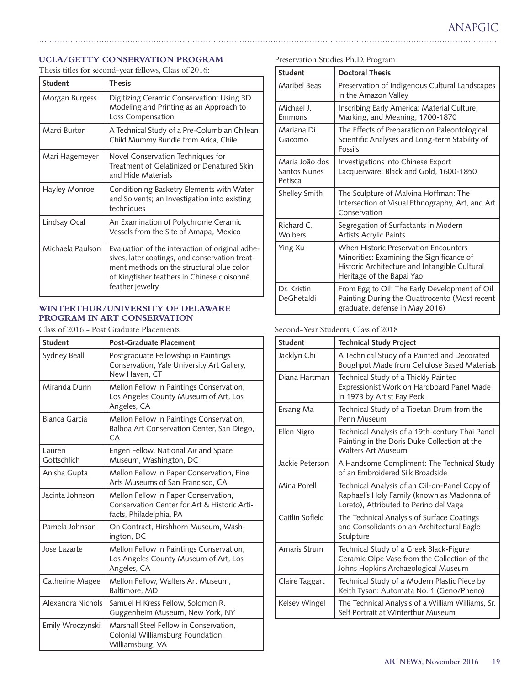# <span id="page-18-0"></span>**UCLA/GETTY CONSERVATION PROGRAM**

Thesis titles for second-year fellows, Class of 2016:

| <b>Student</b>   | <b>Thesis</b>                                                                                                                                                                                                    |
|------------------|------------------------------------------------------------------------------------------------------------------------------------------------------------------------------------------------------------------|
| Morgan Burgess   | Digitizing Ceramic Conservation: Using 3D<br>Modeling and Printing as an Approach to<br>Loss Compensation                                                                                                        |
| Marci Burton     | A Technical Study of a Pre-Columbian Chilean<br>Child Mummy Bundle from Arica, Chile                                                                                                                             |
| Mari Hagemeyer   | Novel Conservation Techniques for<br>Treatment of Gelatinized or Denatured Skin<br>and Hide Materials                                                                                                            |
| Hayley Monroe    | Conditioning Basketry Elements with Water<br>and Solvents; an Investigation into existing<br>techniques                                                                                                          |
| Lindsay Ocal     | An Examination of Polychrome Ceramic<br>Vessels from the Site of Amapa, Mexico                                                                                                                                   |
| Michaela Paulson | Evaluation of the interaction of original adhe-<br>sives, later coatings, and conservation treat-<br>ment methods on the structural blue color<br>of Kingfisher feathers in Chinese cloisonné<br>feather jewelry |

## **WINTERTHUR/UNIVERSITY OF DELAWARE PROGRAM IN ART CONSERVATION**

Class of 2016 - Post Graduate Placements

| <b>Student</b>        | <b>Post-Graduate Placement</b>                                                                                  |
|-----------------------|-----------------------------------------------------------------------------------------------------------------|
| <b>Sydney Beall</b>   | Postgraduate Fellowship in Paintings<br>Conservation, Yale University Art Gallery,<br>New Haven, CT             |
| Miranda Dunn          | Mellon Fellow in Paintings Conservation,<br>Los Angeles County Museum of Art, Los<br>Angeles, CA                |
| Bianca Garcia         | Mellon Fellow in Paintings Conservation,<br>Balboa Art Conservation Center, San Diego,<br>CA                    |
| Lauren<br>Gottschlich | Engen Fellow, National Air and Space<br>Museum, Washington, DC                                                  |
| Anisha Gupta          | Mellon Fellow in Paper Conservation, Fine<br>Arts Museums of San Francisco, CA                                  |
| Jacinta Johnson       | Mellon Fellow in Paper Conservation,<br>Conservation Center for Art & Historic Arti-<br>facts, Philadelphia, PA |
| Pamela Johnson        | On Contract, Hirshhorn Museum, Wash-<br>ington, DC                                                              |
| Jose Lazarte          | Mellon Fellow in Paintings Conservation,<br>Los Angeles County Museum of Art, Los<br>Angeles, CA                |
| Catherine Magee       | Mellon Fellow, Walters Art Museum,<br>Baltimore, MD                                                             |
| Alexandra Nichols     | Samuel H Kress Fellow, Solomon R.<br>Guggenheim Museum, New York, NY                                            |
| Emily Wroczynski      | Marshall Steel Fellow in Conservation,<br>Colonial Williamsburg Foundation,<br>Williamsburg, VA                 |

|  |  | Preservation Studies Ph.D. Program |
|--|--|------------------------------------|
|  |  |                                    |

| <b>Student</b>                                   | <b>Doctoral Thesis</b>                                                                                                                                                  |
|--------------------------------------------------|-------------------------------------------------------------------------------------------------------------------------------------------------------------------------|
| <b>Maribel Beas</b>                              | Preservation of Indigenous Cultural Landscapes<br>in the Amazon Valley                                                                                                  |
| Michael J.<br>Emmons                             | Inscribing Early America: Material Culture,<br>Marking, and Meaning, 1700-1870                                                                                          |
| Mariana Di<br>Giacomo                            | The Effects of Preparation on Paleontological<br>Scientific Analyses and Long-term Stability of<br><b>Fossils</b>                                                       |
| Maria João dos<br><b>Santos Nunes</b><br>Petisca | Investigations into Chinese Export<br>Lacquerware: Black and Gold, 1600-1850                                                                                            |
| <b>Shelley Smith</b>                             | The Sculpture of Malvina Hoffman: The<br>Intersection of Visual Ethnography, Art, and Art<br>Conservation                                                               |
| Richard C.<br>Wolbers                            | Segregation of Surfactants in Modern<br>Artists' Acrylic Paints                                                                                                         |
| Ying Xu                                          | <b>When Historic Preservation Encounters</b><br>Minorities: Examining the Significance of<br>Historic Architecture and Intangible Cultural<br>Heritage of the Bapai Yao |
| Dr. Kristin<br>DeGhetaldi                        | From Egg to Oil: The Early Development of Oil<br>Painting During the Quattrocento (Most recent<br>graduate, defense in May 2016)                                        |

# Second-Year Students, Class of 2018

| <b>Student</b>  | <b>Technical Study Project</b>                                                                                                        |
|-----------------|---------------------------------------------------------------------------------------------------------------------------------------|
| Jacklyn Chi     | A Technical Study of a Painted and Decorated<br>Boughpot Made from Cellulose Based Materials                                          |
| Diana Hartman   | Technical Study of a Thickly Painted<br>Expressionist Work on Hardboard Panel Made<br>in 1973 by Artist Fay Peck                      |
| Ersang Ma       | Technical Study of a Tibetan Drum from the<br>Penn Museum                                                                             |
| Ellen Nigro     | Technical Analysis of a 19th-century Thai Panel<br>Painting in the Doris Duke Collection at the<br><b>Walters Art Museum</b>          |
| Jackie Peterson | A Handsome Compliment: The Technical Study<br>of an Embroidered Silk Broadside                                                        |
| Mina Porell     | Technical Analysis of an Oil-on-Panel Copy of<br>Raphael's Holy Family (known as Madonna of<br>Loreto), Attributed to Perino del Vaga |
| Caitlin Sofield | The Technical Analysis of Surface Coatings<br>and Consolidants on an Architectural Eagle<br>Sculpture                                 |
| Amaris Strum    | Technical Study of a Greek Black-Figure<br>Ceramic Olpe Vase from the Collection of the<br>Johns Hopkins Archaeological Museum        |
| Claire Taggart  | Technical Study of a Modern Plastic Piece by<br>Keith Tyson: Automata No. 1 (Geno/Pheno)                                              |
| Kelsey Wingel   | The Technical Analysis of a William Williams, Sr.<br>Self Portrait at Winterthur Museum                                               |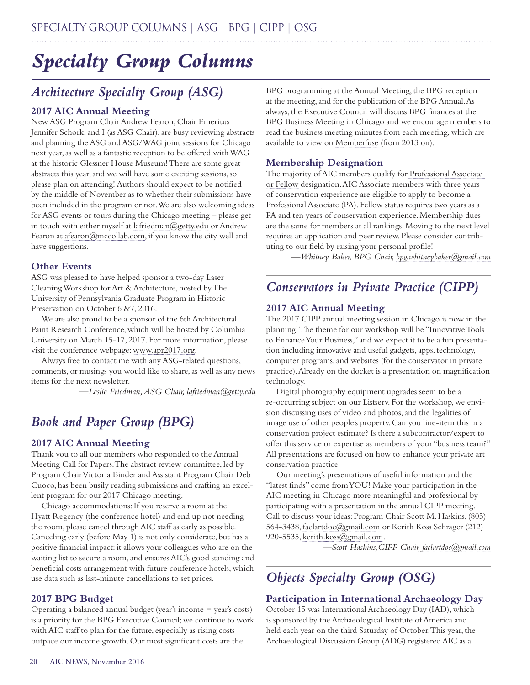# *Specialty Group Columns*

# *Architecture Specialty Group (ASG)*

# **2017 AIC Annual Meeting**

New ASG Program Chair Andrew Fearon, Chair Emeritus Jennifer Schork, and I (as ASG Chair), are busy reviewing abstracts and planning the ASG and ASG/WAG joint sessions for Chicago next year, as well as a fantastic reception to be offered with WAG at the historic Glessner House Museum! There are some great abstracts this year, and we will have some exciting sessions, so please plan on attending! Authors should expect to be notified by the middle of November as to whether their submissions have been included in the program or not. We are also welcoming ideas for ASG events or tours during the Chicago meeting – please get in touch with either myself at [lafriedman@getty.edu](mailto:lafriedman@getty.edu) or Andrew Fearon at [afearon@mccollab.com](mailto:afearon@mccollab.com), if you know the city well and have suggestions.

## **Other Events**

ASG was pleased to have helped sponsor a two-day Laser Cleaning Workshop for Art & Architecture, hosted by The University of Pennsylvania Graduate Program in Historic Preservation on October 6 & 7, 2016.

We are also proud to be a sponsor of the 6th Architectural Paint Research Conference, which will be hosted by Columbia University on March 15-17, 2017. For more information, please visit the conference webpage: [www.apr2017.org.](http://www.apr2017.org)

Always free to contact me with any ASG-related questions, comments, or musings you would like to share, as well as any news items for the next newsletter.

*—Leslie Friedman, ASG Chair, [lafriedman@getty.edu](mailto:lafriedman@getty.edu)*

# *Book and Paper Group (BPG)*

## **2017 AIC Annual Meeting**

Thank you to all our members who responded to the Annual Meeting Call for Papers. The abstract review committee, led by Program Chair Victoria Binder and Assistant Program Chair Deb Cuoco, has been busily reading submissions and crafting an excellent program for our 2017 Chicago meeting.

Chicago accommodations: If you reserve a room at the Hyatt Regency (the conference hotel) and end up not needing the room, please cancel through AIC staff as early as possible. Canceling early (before May 1) is not only considerate, but has a positive financial impact: it allows your colleagues who are on the waiting list to secure a room, and ensures AIC's good standing and beneficial costs arrangement with future conference hotels, which use data such as last-minute cancellations to set prices.

## **2017 BPG Budget**

Operating a balanced annual budget (year's income = year's costs) is a priority for the BPG Executive Council; we continue to work with AIC staff to plan for the future, especially as rising costs outpace our income growth. Our most significant costs are the

BPG programming at the Annual Meeting, the BPG reception at the meeting, and for the publication of the BPG Annual. As always, the Executive Council will discuss BPG finances at the BPG Business Meeting in Chicago and we encourage members to read the business meeting minutes from each meeting, which are available to view on [Memberfuse](http://aichaw.mymemberfuse.com/group/bookandpaper%20) (from 2013 on).

## **Membership Designation**

The majority of AIC members qualify for Professional Associate or Fellow designation. AIC Associate members with three years of conservation experience are eligible to apply to become a Professional Associate (PA). Fellow status requires two years as a PA and ten years of conservation experience. Membership dues are the same for members at all rankings. Moving to the next level requires an application and peer review. Please consider contributing to our field by raising your personal profile!

*—Whitney Baker, BPG Chair, bpg.whitneybaker@gmail.com*

# *Conservators in Private Practice (CIPP)*

## **2017 AIC Annual Meeting**

The 2017 CIPP annual meeting session in Chicago is now in the planning! The theme for our workshop will be "Innovative Tools to Enhance Your Business," and we expect it to be a fun presentation including innovative and useful gadgets, apps, technology, computer programs, and websites (for the conservator in private practice). Already on the docket is a presentation on magnification technology.

Digital photography equipment upgrades seem to be a re-occurring subject on our Listserv. For the workshop, we envision discussing uses of video and photos, and the legalities of image use of other people's property. Can you line-item this in a conservation project estimate? Is there a subcontractor/expert to offer this service or expertise as members of your "business team?" All presentations are focused on how to enhance your private art conservation practice.

Our meeting's presentations of useful information and the "latest finds" come from YOU! Make your participation in the AIC meeting in Chicago more meaningful and professional by participating with a presentation in the annual CIPP meeting. Call to discuss your ideas: Program Chair Scott M. Haskins, (805) 564-3438, [faclartdoc@gmail.com](mailto:faclartdoc@gmail.com) or Kerith Koss Schrager (212) 920-5535, [kerith.koss@gmail.com.](mailto:kerith.koss@gmail.com)

*—Scott Haskins,CIPP Chair, faclartdoc@gmail.com*

# *Objects Specialty Group (OSG)*

# **Participation in International Archaeology Day**

October 15 was International Archaeology Day (IAD), which is sponsored by the Archaeological Institute of America and held each year on the third Saturday of October. This year, the Archaeological Discussion Group (ADG) registered AIC as a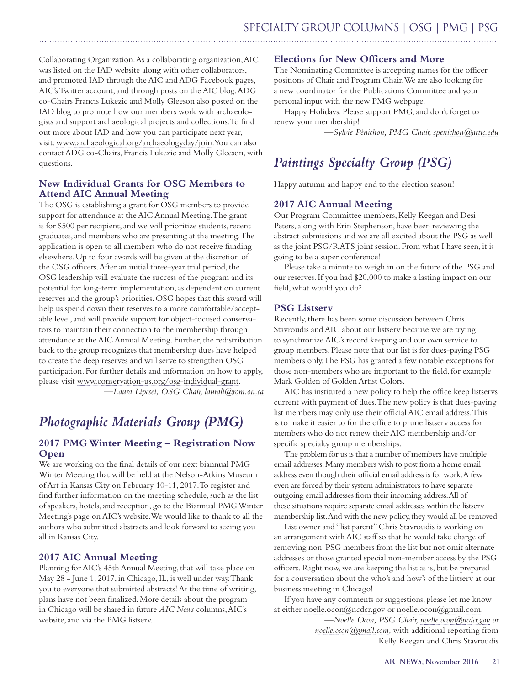Collaborating Organization. As a collaborating organization, AIC was listed on the IAD website along with other collaborators, and promoted IAD through the AIC and ADG Facebook pages, AIC's Twitter account, and through posts on the AIC blog. ADG co-Chairs Francis Lukezic and Molly Gleeson also posted on the IAD blog to promote how our members work with archaeologists and support archaeological projects and collections. To find out more about IAD and how you can participate next year, visit: www.archaeological.org/archaeologyday/join. You can also contact ADG co-Chairs, Francis Lukezic and Molly Gleeson, with questions.

## **New Individual Grants for OSG Members to Attend AIC Annual Meeting**

The OSG is establishing a grant for OSG members to provide support for attendance at the AIC Annual Meeting. The grant is for \$500 per recipient, and we will prioritize students, recent graduates, and members who are presenting at the meeting. The application is open to all members who do not receive funding elsewhere. Up to four awards will be given at the discretion of the OSG officers. After an initial three-year trial period, the OSG leadership will evaluate the success of the program and its potential for long-term implementation, as dependent on current reserves and the group's priorities. OSG hopes that this award will help us spend down their reserves to a more comfortable/acceptable level, and will provide support for object-focused conservators to maintain their connection to the membership through attendance at the AIC Annual Meeting. Further, the redistribution back to the group recognizes that membership dues have helped to create the deep reserves and will serve to strengthen OSG participation. For further details and information on how to apply, please visit www.conservation-us.org/osg-individual-grant. *—Laura Lipcsei, OSG Chair, laurali@rom.on.ca*

*Photographic Materials Group (PMG)*

# **2017 PMG Winter Meeting – Registration Now Open**

We are working on the final details of our next biannual PMG Winter Meeting that will be held at the Nelson-Atkins Museum of Art in Kansas City on February 10-11, 2017. To register and find further information on the meeting schedule, such as the list of speakers, hotels, and reception, go to the Biannual PMG Winter Meeting's page on AIC's website. We would like to thank to all the authors who submitted abstracts and look forward to seeing you all in Kansas City.

# **2017 AIC Annual Meeting**

Planning for AIC's 45th Annual Meeting, that will take place on May 28 - June 1, 2017, in Chicago, IL, is well under way. Thank you to everyone that submitted abstracts! At the time of writing, plans have not been finalized. More details about the program in Chicago will be shared in future *AIC News* columns, AIC's website, and via the PMG listserv.

# **Elections for New Officers and More**

The Nominating Committee is accepting names for the officer positions of Chair and Program Chair. We are also looking for a new coordinator for the Publications Committee and your personal input with the new PMG webpage.

Happy Holidays. Please support PMG, and don't forget to renew your membership!

*—Sylvie Pénichon, PMG Chair, spenichon@artic.edu*

# *Paintings Specialty Group (PSG)*

Happy autumn and happy end to the election season!

## **2017 AIC Annual Meeting**

Our Program Committee members, Kelly Keegan and Desi Peters, along with Erin Stephenson, have been reviewing the abstract submissions and we are all excited about the PSG as well as the joint PSG/RATS joint session. From what I have seen, it is going to be a super conference!

Please take a minute to weigh in on the future of the PSG and our reserves. If you had \$20,000 to make a lasting impact on our field, what would you do?

## **PSG Listserv**

Recently, there has been some discussion between Chris Stavroudis and AIC about our listserv because we are trying to synchronize AIC's record keeping and our own service to group members. Please note that our list is for dues-paying PSG members only. The PSG has granted a few notable exceptions for those non-members who are important to the field, for example Mark Golden of Golden Artist Colors.

AIC has instituted a new policy to help the office keep listservs current with payment of dues. The new policy is that dues-paying list members may only use their official AIC email address. This is to make it easier to for the office to prune listserv access for members who do not renew their AIC membership and/or specific specialty group memberships.

The problem for us is that a number of members have multiple email addresses. Many members wish to post from a home email address even though their official email address is for work. A few even are forced by their system administrators to have separate outgoing email addresses from their incoming address. All of these situations require separate email addresses within the listserv membership list. And with the new policy, they would all be removed.

List owner and "list parent" Chris Stavroudis is working on an arrangement with AIC staff so that he would take charge of removing non-PSG members from the list but not omit alternate addresses or those granted special non-member access by the PSG officers. Right now, we are keeping the list as is, but be prepared for a conversation about the who's and how's of the listserv at our business meeting in Chicago!

If you have any comments or suggestions, please let me know at either [noelle.ocon@ncdcr.gov](mailto:noelle.ocon@ncdcr.gov) or [noelle.ocon@gmail.com.](mailto:noelle.ocon@gmail.com)

> —*Noelle Ocon, PSG Chair, [noelle.ocon@ncdcr.gov](mailto:noelle.ocon@ncdcr.gov) or [noelle.ocon@gmail.com](mailto:noelle.ocon@gmail.com),* with additional reporting from Kelly Keegan and Chris Stavroudis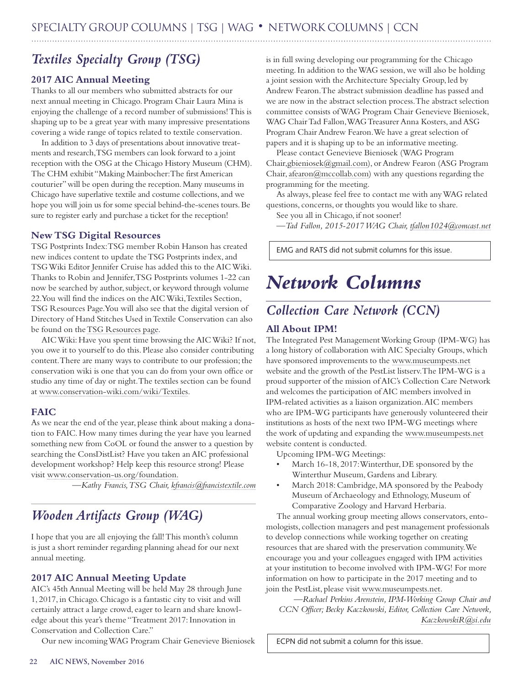# *Textiles Specialty Group (TSG)*

# **2017 AIC Annual Meeting**

Thanks to all our members who submitted abstracts for our next annual meeting in Chicago. Program Chair Laura Mina is enjoying the challenge of a record number of submissions! This is shaping up to be a great year with many impressive presentations covering a wide range of topics related to textile conservation.

In addition to 3 days of presentations about innovative treatments and research, TSG members can look forward to a joint reception with the OSG at the Chicago History Museum (CHM). The CHM exhibit "Making Mainbocher: The first American couturier" will be open during the reception. Many museums in Chicago have superlative textile and costume collections, and we hope you will join us for some special behind-the-scenes tours. Be sure to register early and purchase a ticket for the reception!

# **New TSG Digital Resources**

TSG Postprints Index: TSG member Robin Hanson has created new indices content to update the TSG Postprints index, and TSG Wiki Editor Jennifer Cruise has added this to the AIC Wiki. Thanks to Robin and Jennifer, TSG Postprints volumes 1-22 can now be searched by author, subject, or keyword through volume 22. You will find the indices on the AIC Wiki, Textiles Section, TSG Resources Page. You will also see that the digital version of Directory of Hand Stitches Used in Textile Conservation can also be found on the [TSG Resources page.](file:///C:\Users\Carmina\AIC-FAIC%20My%20Files\AIC_News_2016_Editorial\06-November\01-Originals\18-SG&Networks\TSG%20Resources%20page)

AIC Wiki: Have you spent time browsing the AIC Wiki? If not, you owe it to yourself to do this. Please also consider contributing content. There are many ways to contribute to our profession; the conservation wiki is one that you can do from your own office or studio any time of day or night. The textiles section can be found at www.conservation-wiki.com/wiki/Textiles.

# **FAIC**

As we near the end of the year, please think about making a donation to FAIC. How many times during the year have you learned something new from CoOL or found the answer to a question by searching the ConsDistList? Have you taken an AIC professional development workshop? Help keep this resource strong! Please visit www.conservation-us.org/foundation.

*—Kathy Francis, TSG Chair, kfrancis@francistextile.com*

# *Wooden Artifacts Group (WAG)*

I hope that you are all enjoying the fall! This month's column is just a short reminder regarding planning ahead for our next annual meeting.

# **2017 AIC Annual Meeting Update**

AIC's 45th Annual Meeting will be held May 28 through June 1, 2017, in Chicago. Chicago is a fantastic city to visit and will certainly attract a large crowd, eager to learn and share knowledge about this year's theme "Treatment 2017: Innovation in Conservation and Collection Care."

Our new incoming WAG Program Chair Genevieve Bieniosek

is in full swing developing our programming for the Chicago meeting. In addition to the WAG session, we will also be holding a joint session with the Architecture Specialty Group, led by Andrew Fearon. The abstract submission deadline has passed and we are now in the abstract selection process. The abstract selection committee consists of WAG Program Chair Genevieve Bieniosek, WAG Chair Tad Fallon, WAG Treasurer Anna Kosters, and ASG Program Chair Andrew Fearon. We have a great selection of papers and it is shaping up to be an informative meeting.

Please contact Genevieve Bieniosek (WAG Program Chair[,gbieniosek@gmail.com\)](mailto:gbieniosek@gmail.com), or Andrew Fearon (ASG Program Chair, [afearon@mccollab.com](mailto:afearon@mccollab.com)) with any questions regarding the programming for the meeting.

As always, please feel free to contact me with any WAG related questions, concerns, or thoughts you would like to share.

See you all in Chicago, if not sooner!

*—Tad Fallon, 2015-2017 WAG Chair, tfallon1024@comcast.net*

EMG and RATS did not submit columns for this issue.

# *Network Columns*

# *Collection Care Network (CCN)*

# **All About IPM!**

The Integrated Pest Management Working Group (IPM-WG) has a long history of collaboration with AIC Specialty Groups, which have sponsored improvements to the [www.museumpests.net](file:///C:\Users\Carmina\AppData\Local\Microsoft\Windows\INetCache\Content.Outlook\KBUA6S0J\www.museumpests.net) website and the growth of the PestList listserv. The IPM-WG is a proud supporter of the mission of AIC's Collection Care Network and welcomes the participation of AIC members involved in IPM-related activities as a liaison organization. AIC members who are IPM-WG participants have generously volunteered their institutions as hosts of the next two IPM-WG meetings where the work of updating and expanding the [www.museumpests.net](http://www.museumpests.net/) website content is conducted.

Upcoming IPM-WG Meetings:

- March 16-18, 2017: Winterthur, DE sponsored by the Winterthur Museum, Gardens and Library.
- March 2018: Cambridge, MA sponsored by the Peabody Museum of Archaeology and Ethnology, Museum of Comparative Zoology and Harvard Herbaria.

The annual working group meeting allows conservators, entomologists, collection managers and pest management professionals to develop connections while working together on creating resources that are shared with the preservation community. We encourage you and your colleagues engaged with IPM activities at your institution to become involved with IPM-WG! For more information on how to participate in the 2017 meeting and to join the PestList, please visit [www.museumpests.net.](file:///C:\Users\Carmina\AppData\Local\Microsoft\Windows\INetCache\Content.Outlook\KBUA6S0J\www.museumpests.net)

*—Rachael Perkins Arenstein, IPM-Working Group Chair and CCN Officer; Becky Kaczkowski, Editor, Collection Care Network, KaczkowskiR@si.edu*

ECPN did not submit a column for this issue.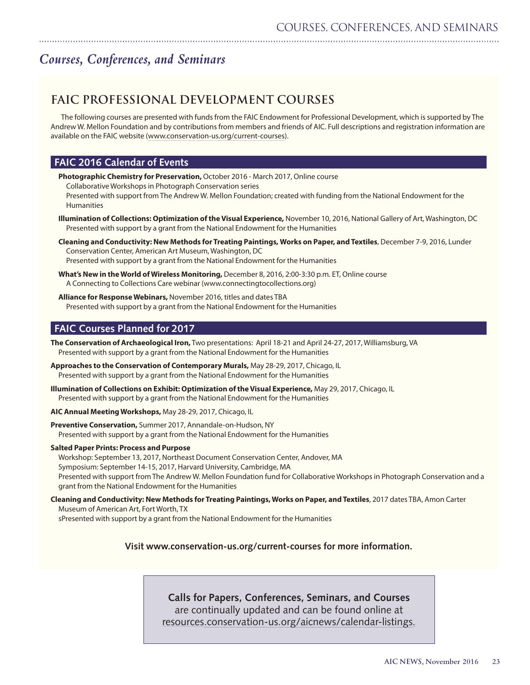# *Courses, Conferences, and Seminars*

# **FAIC PROFESSIONAL DEVELOPMENT COURSES**

The following courses are presented with funds from the FAIC Endowment for Professional Development, which is supported by The Andrew W. Mellon Foundation and by contributions from members and friends of AIC. Full descriptions and registration information are available on the FAIC website [\(www.conservation-us.org/current-courses](http://www.conservation-us.org/current-courses)).

# **FAIC 2016 Calendar of Events**

**Photographic Chemistry for Preservation,** October 2016 - March 2017, Online course

Collaborative Workshops in Photograph Conservation series

Presented with support from The Andrew W. Mellon Foundation; created with funding from the National Endowment for the Humanities

- **Illumination of Collections: Optimization of the Visual Experience,** November 10, 2016, National Gallery of Art, Washington, DC Presented with support by a grant from the National Endowment for the Humanities
- **Cleaning and Conductivity: New Methods for Treating Paintings, Works on Paper, and Textiles**, December 7-9, 2016, Lunder Conservation Center, American Art Museum, Washington, DC Presented with support by a grant from the National Endowment for the Humanities
- **What's New in the World of Wireless Monitoring,** December 8, 2016, 2:00-3:30 p.m. ET, Online course A Connecting to Collections Care webinar (www.connectingtocollections.org)
- **Alliance for Response Webinars,** November 2016, titles and dates TBA Presented with support by a grant from the National Endowment for the Humanities

# **FAIC Courses Planned for 2017**

**The Conservation of Archaeological Iron,** Two presentations: April 18-21 and April 24-27, 2017, Williamsburg, VA Presented with support by a grant from the National Endowment for the Humanities

- **Approaches to the Conservation of Contemporary Murals,** May 28-29, 2017, Chicago, IL Presented with support by a grant from the National Endowment for the Humanities
- **Illumination of Collections on Exhibit: Optimization of the Visual Experience,** May 29, 2017, Chicago, IL Presented with support by a grant from the National Endowment for the Humanities

**AIC Annual Meeting Workshops,** May 28-29, 2017, Chicago, IL

**Preventive Conservation,** Summer 2017, Annandale-on-Hudson, NY Presented with support by a grant from the National Endowment for the Humanities

#### **Salted Paper Prints: Process and Purpose**

Workshop: September 13, 2017, Northeast Document Conservation Center, Andover, MA Symposium: September 14-15, 2017, Harvard University, Cambridge, MA Presented with support from The Andrew W. Mellon Foundation fund for Collaborative Workshops in Photograph Conservation and a grant from the National Endowment for the Humanities

**Cleaning and Conductivity: New Methods for Treating Paintings, Works on Paper, and Textiles**, 2017 dates TBA, Amon Carter Museum of American Art, Fort Worth, TX

sPresented with support by a grant from the National Endowment for the Humanities

## **Visit www.conservation-us.org/current-courses for more information.**

# **Calls for Papers, Conferences, Seminars, and Courses** are continually updated and can be found online at

resources[.conservation-us.org/aicnews/calendar-listings.](http://resources.conservation-us.org/aicnews/calendar-listings)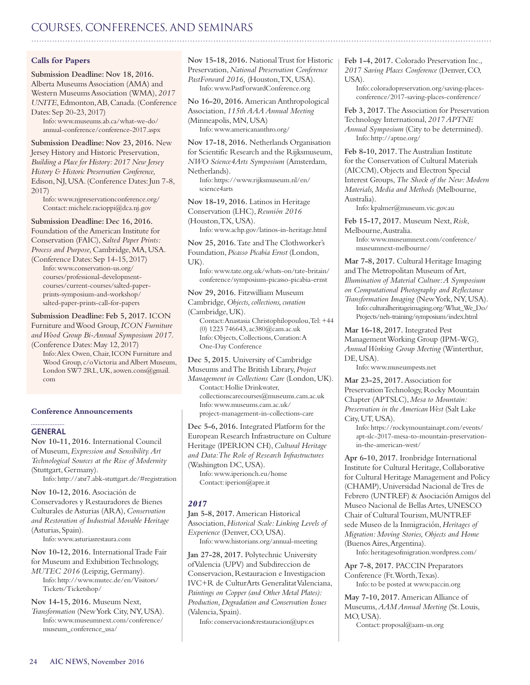# <span id="page-23-0"></span>COURSES, CONFERENCES, AND SEMINARS

#### **Calls for Papers**

**Submission Deadline: Nov 18, 2016.** Alberta Museums Association (AMA) and Western Museums Association (WMA), *2017 UNITE*, Edmonton, AB, Canada. (Conference Dates: Sep 20-23, 2017) Info: www.museums.ab.ca/what-we-do/

annual-conference/conference-2017.aspx

**Submission Deadline: Nov 23, 2016.** New Jersey History and Historic Preservation, *Building a Place for History: 2017 New Jersey History & Historic Preservation Conference,*  Edison, NJ, USA. (Conference Dates: Jun 7-8, 2017)

Info: www.njpreservationconference.org/ Contact: michele.racioppi@dca.nj.gov

**Submission Deadline: Dec 16, 2016.**

Foundation of the American Institute for Conservation (FAIC), *Salted Paper Prints: Process and Purpose,* Cambridge, MA, USA.

(Conference Dates: Sep 14-15, 2017) Info: www.conservation-us.org/ courses/professional-developmentcourses/current-courses/salted-paperprints-symposium-and-workshop/ salted-paper-prints-call-for-papers

**Submission Deadline: Feb 5, 2017.** ICON

Furniture and Wood Group, *ICON Furniture and Wood Group Bi-Annual Symposium 2017*. (Conference Dates: May 12, 2017)

Info: Alex Owen, Chair, ICON Furniture and Wood Group, c/o Victoria and Albert Museum, London SW7 2RL, UK, aowen.cons@gmail. com

#### **Conference Announcements**

#### **GENERAL**

**Nov 10-11, 2016.** International Council of Museum, *Expression and Sensibility. Art Technological Sources at the Rise of Modernity*  (Stuttgart, Germany). Info: http://atsr7.abk-stuttgart.de/#registration

**Nov 10-12, 2016.** Asociación de Conservadores y Restauradores de Bienes Culturales de Asturias (ARA), *Conservation and Restoration of Industrial Movable Heritage*  (Asturias, Spain).

Info: www.asturiasrestaura.com

**Nov 10-12, 2016.** International Trade Fair for Museum and Exhibition Technology, *MUTEC 2016* (Leipzig, Germany). Info: http://www.mutec.de/en/Visitors/ Tickets/Ticketshop/

**Nov 14-15, 2016.** Museum Next, *Transformation* (New York City, NY, USA). Info: www.museumnext.com/conference/ museum\_conference\_usa/

**Nov 15-18, 2016.** National Trust for Historic Preservation, *National Preservation Conference*  PastForward 2016, (Houston, TX, USA). Info: www.PastForwardConference.org

**No 16-20, 2016.** American Anthropological Association, *115th AAA Annual Meeting* (Minneapolis, MN, USA) Info: www.americananthro.org/

**Nov 17-18, 2016.** Netherlands Organisation for Scientific Research and the Rijksmuseum, *NWO Science4Arts Symposium* (Amsterdam, Netherlands).

Info: https://www.rijksmuseum.nl/en/ science4arts

**Nov 18-19, 2016.** Latinos in Heritage Conservation (LHC), *Reunión 2016*  (Houston, TX, USA). Info: www.achp.gov/latinos-in-heritage.html

**Nov 25, 2016.** Tate and The Clothworker's Foundation, *Picasso Picabia Ernst* (London, UK).

Info: www.tate.org.uk/whats-on/tate-britain/ conference/symposium-picasso-picabia-ernst

**Nov 29, 2016.** Fitzwilliam Museum Cambridge, *Objects, collections, curation*  (Cambridge, UK).

Contact: Anastasia Christophilopoulou, Tel: +44 (0) 1223 746643, ac380@cam.ac.uk Info: Objects, Collections, Curation: A One-Day Conference

**Dec 5, 2015.** University of Cambridge

Museums and The British Library, *Project Management in Collections Care* (London, UK).

Contact: Hollie Drinkwater, collectionscarecourses@museums.cam.ac.uk Info: www.museums.cam.ac.uk/ project-management-in-collections-care

**Dec 5-6, 2016.** Integrated Platform for the European Research Infrastructure on Culture Heritage (IPERION CH), *Cultural Heritage and Data: The Role of Research Infrastructures* (Washington DC, USA). Info: www.iperionch.eu/home

Contact: iperion@apre.it

## *2017*

**Jan 5-8, 2017.** American Historical Association, *Historical Scale: Linking Levels of Experience* (Denver, CO, USA). Info: www.historians.org/annual-meeting

**Jan 27-28, 2017.** Polytechnic University of Valencia (UPV) and Subdireccion de Conservacion, Restauracion e Investigacion IVC+R de CulturArts Generalitat Valenciana, *Paintings on Copper (and Other Metal Plates): Production, Degradation and Conservation Issues*  (Valencia, Spain).

Info: conservacion&restauracion@upv.es

**Feb 1-4, 2017.** Colorado Preservation Inc., *2017 Saving Places Conference* (Denver, CO, USA).

Info: coloradopreservation.org/saving-placesconference/2017-saving-places-conference/

**Feb 3, 2017.** The Association for Preservation Technology International, *2017 APTNE Annual Symposium* (City to be determined). Info: http://aptne.org/

**Feb 8-10, 2017.** The Australian Institute for the Conservation of Cultural Materials (AICCM), Objects and Electron Special Interest Groups, *The Shock of the New: Modern Materials, Media and Methods* (Melbourne, Australia).

Info: kpalmer@museum.vic.gov.au

**Feb 15-17, 2017.** Museum Next, *Risk*, Melbourne, Australia.

Info: www.museumnext.com/conference/ museumnext-melbourne/

**Mar 7-8, 2017.** Cultural Heritage Imaging and The Metropolitan Museum of Art, *Illumination of Material Culture: A Symposium on Computational Photography and Reflectance Transformation Imaging* (New York, NY, USA). Info: culturalheritageimaging.org/What\_We\_Do/

Projects/neh-training/symposium/index.html

**Mar 16-18, 2017.** Integrated Pest Management Working Group (IPM-WG), *Annual Working Group Meeting* (Winterthur, DE, USA).

Info: www.museumpests.net

**Mar 23-25, 2017.** Association for Preservation Technology, Rocky Mountain Chapter (APTSLC), *Mesa to Mountain: Preservation in the American West* (Salt Lake City, UT, USA).

Info: https://rockymountainapt.com/events/ apt-slc-2017-mesa-to-mountain-preservationin-the-american-west/

**Apr 6-10, 2017.** Ironbridge International Institute for Cultural Heritage, Collaborative for Cultural Heritage Management and Policy (CHAMP), Universidad Nacional de Tres de Febrero (UNTREF) & Asociación Amigos del Museo Nacional de Bellas Artes, UNESCO Chair of Cultural Tourism, MUNTREF sede Museo de la Inmigración, *Heritages of Migration: Moving Stories, Objects and Home*  (Buenos Aires, Argentina).

Info: heritagesofmigration.wordpress.com/

**Apr 7-8, 2017.** PACCIN Preparators Conference (Ft. Worth, Texas). Info: to be posted at www.paccin.org

**May 7-10, 2017.** American Alliance of Museums, *AAM Annual Meeting* (St. Louis, MO, USA).

Contact: proposal@aam-us.org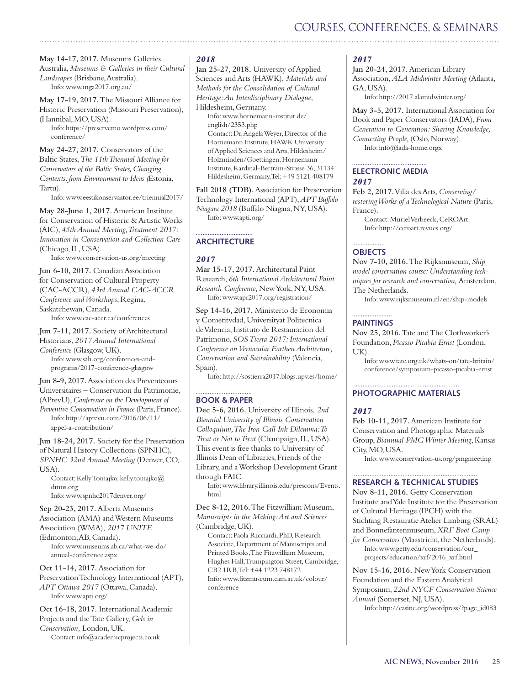# COURSES, CONFERENCES, & SEMINARS

**May 14-17, 2017.** Museums Galleries Australia, *Museums & Galleries in their Cultural Landscapes* (Brisbane, Australia). Info: www.mga2017.org.au/

**May 17-19, 2017.** The Missouri Alliance for Historic Preservation (Missouri Preservation), (Hannibal, MO, USA).

Info: https://preservemo.wordpress.com/ conference/

**May 24-27, 2017.** Conservators of the Baltic States, *The 11th Triennial Meeting for Conservators of the Baltic States, Changing Contexts: from Environment to Ideas (*Estonia, Tartu).

Info: www.eestikonservaator.ee/triennial2017/

**May 28-June 1, 2017.** American Institute for Conservation of Historic & Artistic Works (AIC), *45th Annual Meeting, Treatment 2017: Innovation in Conservation and Collection Care* (Chicago, IL, USA).

Info: www.conservation-us.org/meeting

**Jun 6-10, 2017.** Canadian Association for Conservation of Cultural Property (CAC-ACCR), *43rd Annual CAC-ACCR Conference and Workshops*, Regina, Saskatchewan, Canada.

Info: www.cac-accr.ca/conferences

**Jun 7-11, 2017.** Society of Architectural Historians, *2017 Annual International Conference* (Glasgow, UK). Info: www.sah.org/conferences-andprograms/2017-conference-glasgow

**Jun 8-9, 2017.** Association des Preventeours Universitaires – Conservation du Patrimonie,

(APrevU), *Conference on the Development of Preventive Conservation in France* (Paris, France). Info: http://aprevu.com/2016/06/11/

appel-a-contribution/

**Jun 18-24, 2017.** Society for the Preservation of Natural History Collections (SPNHC), *SPNHC 32nd Annual Meeting* (Denver, CO, USA).

Contact: Kelly Tomajko, kelly.tomajko@ dmns.org Info: www.spnhc2017denver.org/

**Sep 20-23, 2017.** Alberta Museums Association (AMA) and Western Museums Association (WMA), *2017 UNITE*  (Edmonton, AB, Canada). Info: www.museums.ab.ca/what-we-do/ annual-conference.aspx

**Oct 11-14, 2017.** Association for Preservation Technology International (APT), *APT Ottawa 2017* (Ottawa, Canada). Info: www.apti.org/

**Oct 16-18, 2017.** International Academic Projects and the Tate Gallery, *Gels in Conservation,* London, UK. Contact: info@academicprojects.co.uk

#### *2018*

**Jan 25-27, 2018.** University of Applied Sciences and Arts (HAWK), *Materials and Methods for the Consolidation of Cultural Heritage: An Interdisciplinary Dialogue*, Hildesheim, Germany.

Info: www.hornemann-institut.de/ english/2353.php Contact: Dr. Angela Weyer, Director of the Hornemann Institute, HAWK University of Applied Sciences and Arts, Hildesheim/ Holzminden/Goettingen, Hornemann Institute, Kardinal-Bertram-Strasse 36, 31134 Hildesheim, Germany, Tel: +49 5121 408179

**Fall 2018 (TDB).** Association for Preservation Technology International (APT), *APT Buffalo Niagara 2018* (Buffalo Niagara, NY, USA). Info: www.apti.org/

#### **ARCHITECTURE**

#### *2017*

**Mar 15-17, 2017.** Architectural Paint Research, *6th International Architectural Paint Research Conference,* New York, NY, USA. Info: www.apr2017.org/registration/

**Sep 14-16, 2017.** Ministerio de Economia y Cometitvdad, Universityat Politecnica de Valencia, Instituto de Restauracion del Patrimono, *SOS Tierra 2017: International Conference on Vernacular Earthen Architecture, Conservation and Sustainability* (Valencia, Spain).

Info: http://sostierra2017.blogs.upv.es/home/

#### **BOOK & PAPER**

**Dec 5-6, 2016.** University of Illinois, *2nd Biennial University of Illinois Conservation Colloquium, The Iron Gall Ink Dilemma: To Treat or Not to Treat* (Champaign, IL, USA). This event is free thanks to University of Illinois Dean of Libraries, Friends of the Library, and a Workshop Development Grant through FAIC.

Info: www.library.illinois.edu/prescons/Events. html

**Dec 8-12, 2016.** The Fitzwilliam Museum, *Manuscripts in the Making: Art and Sciences*  (Cambridge, UK).

Contact: Paola Ricciardi, PhD, Research Associate, Department of Manuscripts and Printed Books,The Fitzwilliam Museum, Hughes Hall, Trumpington Street, Cambridge, CB2 1RB, Tel: +44 1223 748172 Info: www.fitzmuseum.cam.ac.uk/colour/ conference

#### *2017*

**Jan 20-24, 2017.** American Library Association, *ALA Midwinter Meeting* (Atlanta, GA, USA).

Info: http://2017.alamidwinter.org/

**May 3-5, 2017.** International Association for Book and Paper Conservators (IADA), *From Generation to Generation: Sharing Knowledge, Connecting People,* (Oslo, Norway). Info: info@iada-home.orgx

## **ELECTRONIC MEDIA** *2017*

**Feb 2, 2017.** Villa des Arts, *Conserving/ restoring Works of a Technological Nature* (Paris, France).

Contact: Muriel Verbeeck, CeROArt Info: http://ceroart.revues.org/

#### ................. **OBJECTS**

**Nov 7-10, 2016.** The Rijksmuseum, *Ship model conservation course: Understanding techniques for research and conservation,* Amsterdam, The Netherlands.

Info: www.rijksmuseum.nl/en/ship-models

#### **PAINTINGS**

**Nov 25, 2016.** Tate and The Clothworker's Foundation, *Picasso Picabia Ernst* (London, UK).

Info: www.tate.org.uk/whats-on/tate-britain/ conference/symposium-picasso-picabia-ernst

#### **PHOTOGRAPHIC MATERIALS**

#### *2017*

**Feb 10-11, 2017.** American Institute for Conservation and Photographic Materials Group, *Biannual PMG Winter Meeting*, Kansas City, MO, USA.

Info: www.conservation-us.org/pmgmeeting

#### **RESEARCH & TECHNICAL STUDIES**

**Nov 8-11, 2016.** Getty Conservation Institute and Yale Institute for the Preservation of Cultural Heritage (IPCH) with the Stichting Restauratie Atelier Limburg (SRAL) and Bonnefantenmuseum, *XRF Boot Camp for Conservators* (Maastricht, the Netherlands).

Info: www.getty.edu/conservation/our\_ projects/education/xrf/2016\_xrf.html

**Nov 15-16, 2016.** New York Conservation Foundation and the Eastern Analytical Symposium, *22nd NYCF Conservation Science Annual* (Somerset, NJ, USA).

Info: http://easinc.org/wordpress/?page\_id083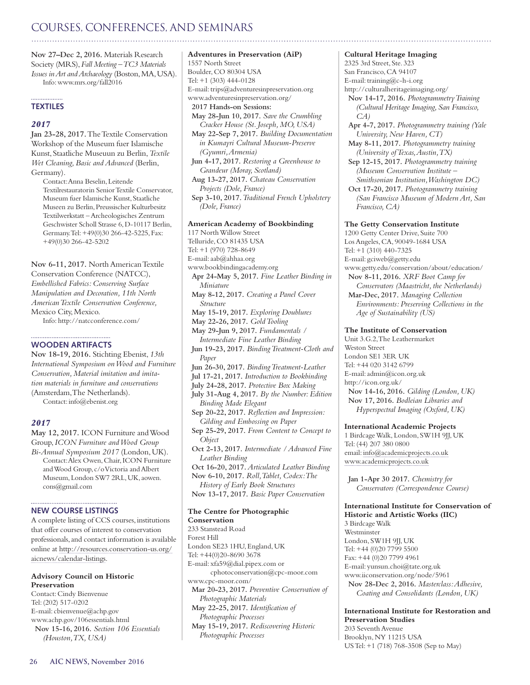# COURSES, CONFERENCES, AND SEMINARS

**Nov 27–Dec 2, 2016.** Materials Research Society (MRS), *Fall Meeting – TC3 Materials Issues in Art and Archaeology* (Boston, MA, USA). Info: www.mrs.org/fall2016

#### . . . . . . . . . . . . . . . . . . **TEXTILES**

#### *2017*

**Jan 23-28, 2017.** The Textile Conservation Workshop of the Museum fuer Islamische Kunst, Staatliche Museuun zu Berlin, *Textile Wet Cleaning, Basic and Advanced* (Berlin, Germany).

Contact: Anna Beselin, Leitende Textilrestauratorin Senior Textile Conservator, Museum fuer Islamische Kunst, Staatliche Museen zu Berlin, Preussischer Kulturbesitz Textilwerkstatt –Archeologisches Zentrum Geschwister Scholl Strasse 6, D-10117 Berlin, Germany. Tel: +49(0)30 266-42-5225, Fax: +49(0)30 266-42-5202

**Nov 6-11, 2017.** North American Textile Conservation Conference (NATCC), *Embellished Fabrics: Conserving Surface Manipulation and Decoration, 11th North American Textile Conservation Conference,*  Mexico City, Mexico.

Info: http://natcconference.com/

#### **WOODEN ARTIFACTS**

**Nov 18-19, 2016.** Stichting Ebenist, *13th International Symposium on Wood and Furniture Conservation, Material imitation and imitation materials in furniture and conservations*  (Amsterdam, The Netherlands). Contact: info@ebenist.org

#### *2017*

**May 12, 2017.** ICON Furniture and Wood Group, *ICON Furniture and Wood Group Bi-Annual Symposium 2017* (London, UK). Contact: Alex Owen, Chair, ICON Furniture and Wood Group, c/o Victoria and Albert Museum, London SW7 2RL, UK, aowen. cons@gmail.com

#### **NEW COURSE LISTINGS**

A complete listing of CCS courses, institutions that offer courses of interest to conservation professionals, and contact information is available online at http://resources.conservation-us.org/ aicnews/calendar-listings.

#### **Advisory Council on Historic Preservation**

Contact: Cindy Bienvenue Tel: (202) 517-0202 E-mail: cbienvenue@achp.gov www.achp.gov/106essentials.html **Nov 15-16, 2016.** *Section 106 Essentials (Houston, TX, USA)*

**Adventures in Preservation (AiP)** 1557 North Street Boulder, CO 80304 USA Tel: +1 (303) 444-0128 E-mail: trips@adventuresinpreservation.org www.adventuresinpreservation.org/ **2017 Hands-on Sessions: May 28-Jun 10, 2017.** *Save the Crumbling Cracker House (St. Joseph, MO, USA)* **May 22-Sep 7, 2017.** *Building Documentation in Kumayri Cultural Museum-Preserve (Gyumri, Armenia)* **Jun 4-17, 2017.** *Restoring a Greenhouse to Grandeur (Moray, Scotland)* **Aug 13-27, 2017.** *Chateau Conservation Projects (Dole, France)* **Sep 3-10, 2017.** *Traditional French Upholstery (Dole, France)* **American Academy of Bookbinding** 117 North Willow Street Telluride, CO 81435 USA Tel: +1 (970) 728-8649 E-mail: aab@ahhaa.org www.bookbindingacademy.org

**Apr 24-May 5, 2017.** *Fine Leather Binding in Miniature* **May 8-12, 2017.** *Creating a Panel Cover Structure* **May 15-19, 2017.** *Exploring Doublures* **May 22-26, 2017.** *Gold Tooling* **May 29-Jun 9, 2017.** *Fundamentals / Intermediate Fine Leather Binding* **Jun 19-23, 2017.** *Binding Treatment-Cloth and Paper* **Jun 26-30, 2017.** *Binding Treatment-Leather* **Jul 17-21, 2017.** *Introduction to Bookbinding*

**July 24-28, 2017.** *Protective Box Making*

**July 31-Aug 4, 2017.** *By the Number: Edition Binding Made Elegant*

**Sep 20-22, 2017.** *Reflection and Impression: Gilding and Embossing on Paper*

**Sep 25-29, 2017.** *From Content to Concept to Object*

**Oct 2-13, 2017.** *Intermediate / Advanced Fine Leather Binding*

**Oct 16-20, 2017.** *Articulated Leather Binding* **Nov 6-10, 2017.** *Roll, Tablet, Codex: The History of Early Book Structures*

**Nov 13-17, 2017.** *Basic Paper Conservation*

#### **The Centre for Photographic**

**Conservation** 233 Stanstead Road Forest Hill London SE23 1HU, England, UK Tel: +44(0)20-8690 3678 E-mail: xfa59@dial.pipex.com or cphotoconservation@cpc-moor.com www.cpc-moor.com/ **Mar 20-23, 2017.** *Preventive Conservation of Photographic Materials* **May 22-25, 2017.** *Identification of Photographic Processes* **May 15-19, 2017.** *Rediscovering Historic Photographic Processes*

#### **Cultural Heritage Imaging**

2325 3rd Street, Ste. 323 San Francisco, CA 94107 E-mail: training@c-h-i.org http://culturalheritageimaging.org/ **Nov 14-17, 2016.** *Photogrammetry Training (Cultural Heritage Imaging, San Francisco, CA)* **Apr 4-7, 2017.** *Photogrammetry training (Yale University, New Haven, CT)* **May 8-11, 2017.** *Photogrammetry training (University of Texas, Austin, TX)* **Sep 12-15, 2017.** *Photogrammetry training (Museum Conservation Institute – Smithsonian Institution, Washington DC)* **Oct 17-20, 2017.** *Photogrammetry training (San Francisco Museum of Modern Art, San Francisco, CA)* **The Getty Conservation Institute** 1200 Getty Center Drive, Suite 700 Los Angeles, CA, 90049-1684 USA Tel: +1 (310) 440-7325 E-mail: gciweb@getty.edu www.getty.edu/conservation/about/education/

**Nov 8-11, 2016.** *XRF Boot Camp for Conservators (Maastricht, the Netherlands)* **Mar-Dec, 2017.** *Managing Collection Environments: Preserving Collections in the Age of Sustainability (US)*

#### **The Institute of Conservation**

Unit 3.G.2, The Leathermarket Weston Street London SE1 3ER UK Tel: +44 020 3142 6799 E-mail: admin@icon.org.uk http://icon.org.uk/ **Nov 14-16, 2016.** *Gilding (London, UK)* **Nov 17, 2016.** *Bodleian Libraries and Hyperspectral Imaging (Oxford, UK)*

#### **International Academic Projects**

1 Birdcage Walk, London, SW1H 9JJ, UK Tel: (44) 207 380 0800 email: [info@academicprojects.co.uk](mailto:info@academicprojects.co.uk) [www.academicprojects.co.uk](http://www.academicprojects.co.uk)

**Jan 1-Apr 30 2017.** *Chemistry for Conservators (Correspondence Course)*

**International Institute for Conservation of Historic and Artistic Works (IIC)** 3 Birdcage Walk

Westminster London, SW1H 9JJ, UK Tel: +44 (0)20 7799 5500 Fax: +44 (0)20 7799 4961 E-mail: yunsun.choi@tate.org.uk www.iiconservation.org/node/5961 **Nov 28-Dec 2, 2016.** *Masterclass: Adhesive, Coating and Consolidants (London, UK)*

**International Institute for Restoration and Preservation Studies** 203 Seventh Avenue Brooklyn, NY 11215 USA US Tel: +1 (718) 768-3508 (Sep to May)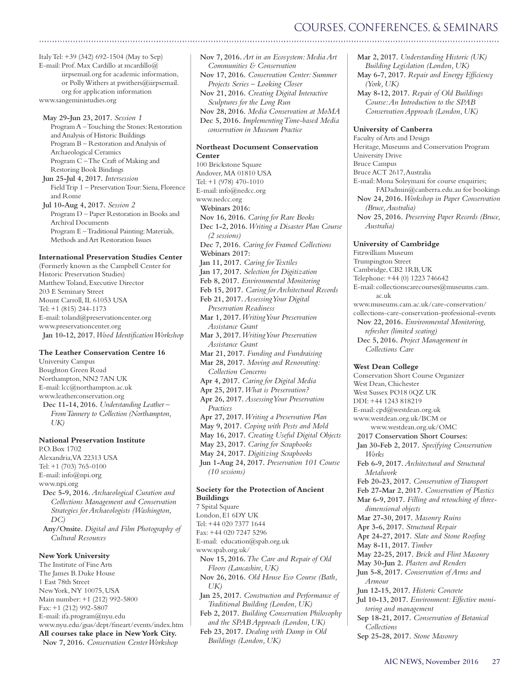# COURSES, CONFERENCES, & SEMINARS

Italy Tel: +39 (342) 692-1504 (May to Sep) E-mail: Prof. Max Cardillo at mcardillo@ iirpsemail.org for academic information, or Polly Withers at pwithers@iirpsemail. org for application information www.sangeministudies.org

**May 29-Jun 23, 2017.** *Session 1* Program A – Touching the Stones: Restoration and Analysis of Historic Buildings Program B – Restoration and Analysis of Archaeological Ceramics Program C – The Craft of Making and Restoring Book Bindings

**Jun 25-Jul 4, 2017.** *Intersession* Field Trip 1 – Preservation Tour: Siena, Florence and Rome **Jul 10-Aug 4, 2017.** *Session 2* Program D – Paper Restoration in Books and Archival Documents

Program E – Traditional Painting: Materials, Methods and Art Restoration Issues

#### **International Preservation Studies Center**

(Formerly known as the Campbell Center for Historic Preservation Studies) Matthew Toland, Executive Director 203 E Seminary Street Mount Carroll, IL 61053 USA Tel: +1 (815) 244-1173 E-mail: toland@preservationcenter.org www.preservationcenter.org **Jan 10-12, 2017.** *Wood Identification Workshop*

#### **The Leather Conservation Centre 16**

University Campus Boughton Green Road Northampton, NN2 7AN UK E-mail: lcc@northampton.ac.uk www.leatherconservation.org **Dec 11-14, 2016.** *Understanding Leather – From Tannery to Collection (Northampton, UK)*

#### **National Preservation Institute**

P.O. Box 1702 Alexandria, VA 22313 USA Tel: +1 (703) 765-0100 E-mail: info@npi.org www.npi.org **Dec 5-9, 2016.** *Archaeological Curation and Collections Management and Conservation Strategies for Archaeologists (Washington, DC)* **Any/Onsite.** *Digital and Film Photography of Cultural Resources*

#### **New York University**

The Institute of Fine Arts The James B. Duke House 1 East 78th Street New York, NY 10075, USA Main number: +1 (212) 992-5800 Fax: +1 (212) 992-5807 E-mail: ifa.program@nyu.edu www.nyu.edu/gsas/dept/fineart/events/index.htm **All courses take place in New York City. Nov 7, 2016.** *Conservation Center Workshop*

**Nov 7, 2016.** *Art in an Ecosystem: Media Art Communities & Conservation* **Nov 17, 2016.** *Conservation Center: Summer Projects Series – Looking Closer* **Nov 21, 2016.** *Creating Digital Interactive Sculptures for the Long Run* **Nov 28, 2016.** *Media Conservation at MoMA* **Dec 5, 2016.** *Implementing Time-based Media conservation in Museum Practice* **Northeast Document Conservation Center**  100 Brickstone Square Andover, MA 01810 USA Tel: +1 (978) 470-1010 E-mail: info@nedcc.org www.nedcc.org **Webinars 2016: Nov 16, 2016.** *Caring for Rare Books* **Dec 1-2, 2016.** *Writing a Disaster Plan Course (2 sessions)* **Dec 7, 2016.** *Caring for Framed Collections* **Webinars 2017: Jan 11, 2017.** *Caring for Textiles* **Jan 17, 2017.** *Selection for Digitization* **Feb 8, 2017.** *Environmental Monitoring* **Feb 15, 2017.** *Caring for Architectural Records* **Feb 21, 2017.** *Assessing Your Digital Preservation Readiness* **Mar 1, 2017.** *Writing Your Preservation Assistance Grant* **Mar 3, 2017.** *Writing Your Preservation Assistance Grant* **Mar 21, 2017.** *Funding and Fundraising* **Mar 28, 2017.** *Moving and Renovating: Collection Concerns* **Apr 4, 2017.** *Caring for Digital Media* **Apr 25, 2017.** *What is Preservation?* **Apr 26, 2017.** *Assessing Your Preservation Practices* **Apr 27, 2017.** *Writing a Preservation Plan* **May 9, 2017.** *Coping with Pests and Mold* **May 16, 2017.** *Creating Useful Digital Objects* **May 23, 2017.** *Caring for Scrapbooks* **May 24, 2017.** *Digitizing Scrapbooks* **Jun 1-Aug 24, 2017.** *Preservation 101 Course (10 sessions)*

#### **Society for the Protection of Ancient Buildings**

7 Spital Square London, E1 6DY UK Tel: +44 020 7377 1644 Fax: +44 020 7247 5296 E-mail: education@spab.org.uk www.spab.org.uk/ **Nov 15, 2016.** *The Care and Repair of Old Floors (Lancashire, UK)* **Nov 26, 2016.** *Old House Eco Course (Bath, UK)* **Jan 25, 2017.** *Construction and Performance of Traditional Building (London, UK)* **Feb 2, 2017.** *Building Conservation Philosophy and the SPAB Approach (London, UK)* **Feb 23, 2017.** *Dealing with Damp in Old Buildings (London, UK)*

**Mar 2, 2017.** *Understanding Historic (UK) Building Legislation (London, UK)* **May 6-7, 2017.** *Repair and Energy Efficiency (York, UK)*

**May 8-12, 2017.** *Repair of Old Buildings Course: An Introduction to the SPAB Conservation Approach (London, UK)*

#### **University of Canberra**

Faculty of Arts and Design Heritage, Museums and Conservation Program University Drive Bruce Campus Bruce ACT 2617, Australia E-mail: Mona Soleymani for course enquiries; FADadmin@canberra.edu.au for bookings **Nov 24, 2016.** *Workshop in Paper Conservation (Bruce, Australia)* **Nov 25, 2016.** *Preserving Paper Records (Bruce, Australia)*

**University of Cambridge** Fitzwilliam Museum Trumpington Street Cambridge, CB2 1RB, UK Telephone: +44 (0) 1223 746642 E-mail: collectionscarecourses@museums.cam. ac.uk www.museums.cam.ac.uk/care-conservation/ collections-care-conservation-professional-events **Nov 22, 2016.** *Environmental Monitoring, refresher (limited seating)* **Dec 5, 2016.** *Project Management in Collections Care* **West Dean College** Conservation Short Course Organizer West Dean, Chichester West Sussex PO18 0QZ UK DDI: +44 1243 818219 E-mail: cpd@westdean.org.uk www.westdean.org.uk/BCM or www.westdean.org.uk/OMC **2017 Conservation Short Courses: Jan 30-Feb 2, 2017.** *Specifying Conservation Works* **Feb 6-9, 2017.** *Architectural and Structural Metalwork* **Feb 20-23, 2017.** *Conservation of Transport* **Feb 27-Mar 2, 2017.** *Conservation of Plastics* **Mar 6-9, 2017.** *Filling and retouching of threedimensional objects* **Mar 27-30, 2017.** *Masonry Ruins* **Apr 3-6, 2017.** *Structural Repair* **Apr 24-27, 2017.** *Slate and Stone Roofing* **May 8-11, 2017.** *Timber* **May 22-25, 2017.** *Brick and Flint Masonry* **May 30-Jun 2.** *Plasters and Renders* **Jun 5-8, 2017.** *Conservation of Arms and Armour* **Jun 12-15, 2017.** *Historic Concrete* **Jul 10-13, 2017.** *Environment: Effective monitoring and management* **Sep 18-21, 2017.** *Conservation of Botanical Collections*

**Sep 25-28, 2017.** *Stone Masonry*